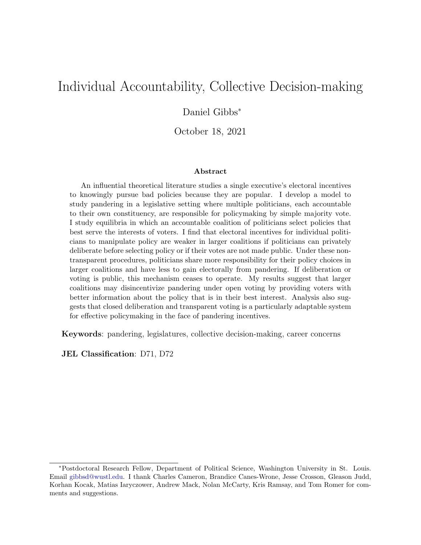# <span id="page-0-0"></span>Individual Accountability, Collective Decision-making

## Daniel Gibbs<sup>∗</sup>

October 18, 2021

#### Abstract

An influential theoretical literature studies a single executive's electoral incentives to knowingly pursue bad policies because they are popular. I develop a model to study pandering in a legislative setting where multiple politicians, each accountable to their own constituency, are responsible for policymaking by simple majority vote. I study equilibria in which an accountable coalition of politicians select policies that best serve the interests of voters. I find that electoral incentives for individual politicians to manipulate policy are weaker in larger coalitions if politicians can privately deliberate before selecting policy or if their votes are not made public. Under these nontransparent procedures, politicians share more responsibility for their policy choices in larger coalitions and have less to gain electorally from pandering. If deliberation or voting is public, this mechanism ceases to operate. My results suggest that larger coalitions may disincentivize pandering under open voting by providing voters with better information about the policy that is in their best interest. Analysis also suggests that closed deliberation and transparent voting is a particularly adaptable system for effective policymaking in the face of pandering incentives.

Keywords: pandering, legislatures, collective decision-making, career concerns

JEL Classification: D71, D72

<sup>∗</sup>Postdoctoral Research Fellow, Department of Political Science, Washington University in St. Louis. Email [gibbsd@wustl.edu.](mailto:gibbsd@wustl.edu) I thank Charles Cameron, Brandice Canes-Wrone, Jesse Crosson, Gleason Judd, Korhan Kocak, Matias Iaryczower, Andrew Mack, Nolan McCarty, Kris Ramsay, and Tom Romer for comments and suggestions.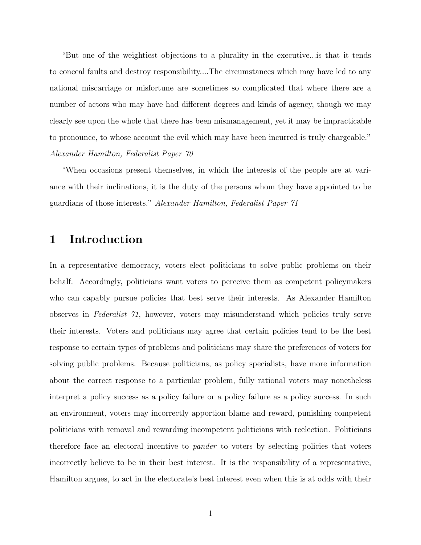"But one of the weightiest objections to a plurality in the executive...is that it tends to conceal faults and destroy responsibility....The circumstances which may have led to any national miscarriage or misfortune are sometimes so complicated that where there are a number of actors who may have had different degrees and kinds of agency, though we may clearly see upon the whole that there has been mismanagement, yet it may be impracticable to pronounce, to whose account the evil which may have been incurred is truly chargeable." Alexander Hamilton, Federalist Paper 70

"When occasions present themselves, in which the interests of the people are at variance with their inclinations, it is the duty of the persons whom they have appointed to be guardians of those interests." Alexander Hamilton, Federalist Paper 71

## 1 Introduction

In a representative democracy, voters elect politicians to solve public problems on their behalf. Accordingly, politicians want voters to perceive them as competent policymakers who can capably pursue policies that best serve their interests. As Alexander Hamilton observes in Federalist 71, however, voters may misunderstand which policies truly serve their interests. Voters and politicians may agree that certain policies tend to be the best response to certain types of problems and politicians may share the preferences of voters for solving public problems. Because politicians, as policy specialists, have more information about the correct response to a particular problem, fully rational voters may nonetheless interpret a policy success as a policy failure or a policy failure as a policy success. In such an environment, voters may incorrectly apportion blame and reward, punishing competent politicians with removal and rewarding incompetent politicians with reelection. Politicians therefore face an electoral incentive to pander to voters by selecting policies that voters incorrectly believe to be in their best interest. It is the responsibility of a representative, Hamilton argues, to act in the electorate's best interest even when this is at odds with their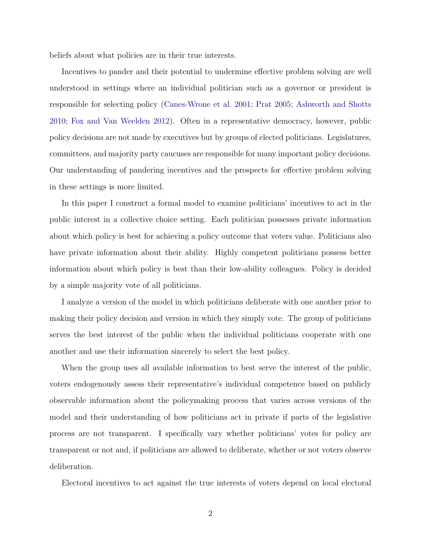beliefs about what policies are in their true interests.

Incentives to pander and their potential to undermine effective problem solving are well understood in settings where an individual politician such as a governor or president is responsible for selecting policy [\(Canes-Wrone et al.](#page-43-0) [2001;](#page-43-0) [Prat](#page-45-0) [2005;](#page-45-0) [Ashworth and Shotts](#page-43-1) [2010;](#page-43-1) [Fox and Van Weelden](#page-44-0) [2012\)](#page-44-0). Often in a representative democracy, however, public policy decisions are not made by executives but by groups of elected politicians. Legislatures, committees, and majority party caucuses are responsible for many important policy decisions. Our understanding of pandering incentives and the prospects for effective problem solving in these settings is more limited.

In this paper I construct a formal model to examine politicians' incentives to act in the public interest in a collective choice setting. Each politician possesses private information about which policy is best for achieving a policy outcome that voters value. Politicians also have private information about their ability. Highly competent politicians possess better information about which policy is best than their low-ability colleagues. Policy is decided by a simple majority vote of all politicians.

I analyze a version of the model in which politicians deliberate with one another prior to making their policy decision and version in which they simply vote. The group of politicians serves the best interest of the public when the individual politicians cooperate with one another and use their information sincerely to select the best policy.

When the group uses all available information to best serve the interest of the public, voters endogenously assess their representative's individual competence based on publicly observable information about the policymaking process that varies across versions of the model and their understanding of how politicians act in private if parts of the legislative process are not transparent. I specifically vary whether politicians' votes for policy are transparent or not and, if politicians are allowed to deliberate, whether or not voters observe deliberation.

Electoral incentives to act against the true interests of voters depend on local electoral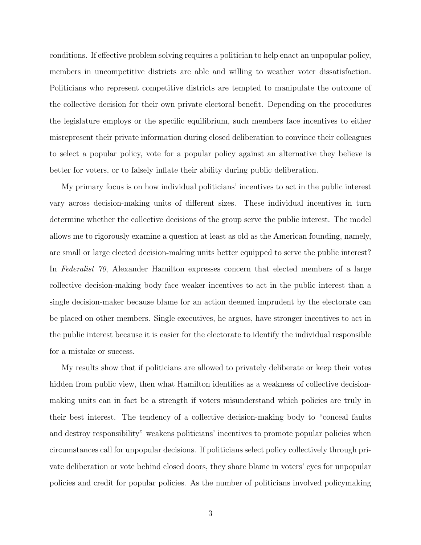conditions. If effective problem solving requires a politician to help enact an unpopular policy, members in uncompetitive districts are able and willing to weather voter dissatisfaction. Politicians who represent competitive districts are tempted to manipulate the outcome of the collective decision for their own private electoral benefit. Depending on the procedures the legislature employs or the specific equilibrium, such members face incentives to either misrepresent their private information during closed deliberation to convince their colleagues to select a popular policy, vote for a popular policy against an alternative they believe is better for voters, or to falsely inflate their ability during public deliberation.

My primary focus is on how individual politicians' incentives to act in the public interest vary across decision-making units of different sizes. These individual incentives in turn determine whether the collective decisions of the group serve the public interest. The model allows me to rigorously examine a question at least as old as the American founding, namely, are small or large elected decision-making units better equipped to serve the public interest? In Federalist 70, Alexander Hamilton expresses concern that elected members of a large collective decision-making body face weaker incentives to act in the public interest than a single decision-maker because blame for an action deemed imprudent by the electorate can be placed on other members. Single executives, he argues, have stronger incentives to act in the public interest because it is easier for the electorate to identify the individual responsible for a mistake or success.

My results show that if politicians are allowed to privately deliberate or keep their votes hidden from public view, then what Hamilton identifies as a weakness of collective decisionmaking units can in fact be a strength if voters misunderstand which policies are truly in their best interest. The tendency of a collective decision-making body to "conceal faults and destroy responsibility" weakens politicians' incentives to promote popular policies when circumstances call for unpopular decisions. If politicians select policy collectively through private deliberation or vote behind closed doors, they share blame in voters' eyes for unpopular policies and credit for popular policies. As the number of politicians involved policymaking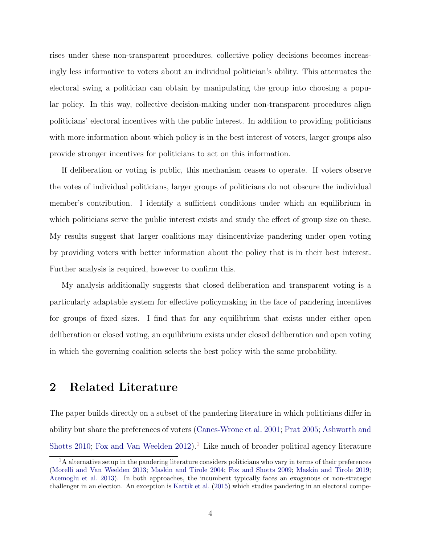rises under these non-transparent procedures, collective policy decisions becomes increasingly less informative to voters about an individual politician's ability. This attenuates the electoral swing a politician can obtain by manipulating the group into choosing a popular policy. In this way, collective decision-making under non-transparent procedures align politicians' electoral incentives with the public interest. In addition to providing politicians with more information about which policy is in the best interest of voters, larger groups also provide stronger incentives for politicians to act on this information.

If deliberation or voting is public, this mechanism ceases to operate. If voters observe the votes of individual politicians, larger groups of politicians do not obscure the individual member's contribution. I identify a sufficient conditions under which an equilibrium in which politicians serve the public interest exists and study the effect of group size on these. My results suggest that larger coalitions may disincentivize pandering under open voting by providing voters with better information about the policy that is in their best interest. Further analysis is required, however to confirm this.

My analysis additionally suggests that closed deliberation and transparent voting is a particularly adaptable system for effective policymaking in the face of pandering incentives for groups of fixed sizes. I find that for any equilibrium that exists under either open deliberation or closed voting, an equilibrium exists under closed deliberation and open voting in which the governing coalition selects the best policy with the same probability.

## 2 Related Literature

The paper builds directly on a subset of the pandering literature in which politicians differ in ability but share the preferences of voters [\(Canes-Wrone et al.](#page-43-0) [2001;](#page-43-0) [Prat](#page-45-0) [2005;](#page-45-0) [Ashworth and](#page-43-1) [Shotts](#page-43-1) [2010;](#page-43-1) [Fox and Van Weelden](#page-44-0)  $2012$  $2012$  $2012$ .<sup>1</sup> Like much of broader political agency literature

<sup>&</sup>lt;sup>1</sup>A alternative setup in the pandering literature considers politicians who vary in terms of their preferences [\(Morelli and Van Weelden](#page-45-1) [2013;](#page-45-1) [Maskin and Tirole](#page-45-2) [2004;](#page-45-2) [Fox and Shotts](#page-44-1) [2009;](#page-44-1) [Maskin and Tirole](#page-45-3) [2019;](#page-45-3) [Acemoglu et al.](#page-42-0) [2013\)](#page-42-0). In both approaches, the incumbent typically faces an exogenous or non-strategic challenger in an election. An exception is [Kartik et al.](#page-45-4) [\(2015\)](#page-45-4) which studies pandering in an electoral compe-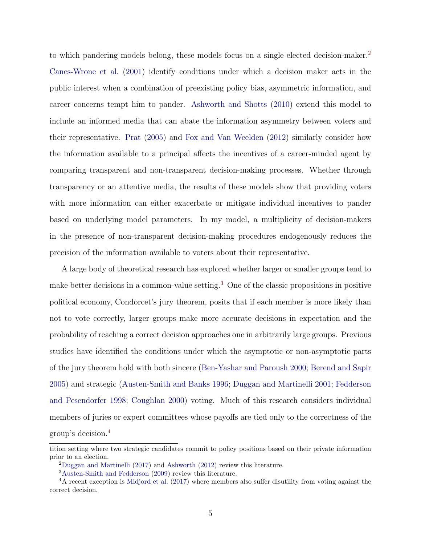to which pandering models belong, these models focus on a single elected decision-maker.[2](#page-0-0) [Canes-Wrone et al.](#page-43-0) [\(2001\)](#page-43-0) identify conditions under which a decision maker acts in the public interest when a combination of preexisting policy bias, asymmetric information, and career concerns tempt him to pander. [Ashworth and Shotts](#page-43-1) [\(2010\)](#page-43-1) extend this model to include an informed media that can abate the information asymmetry between voters and their representative. [Prat](#page-45-0) [\(2005\)](#page-45-0) and [Fox and Van Weelden](#page-44-0) [\(2012\)](#page-44-0) similarly consider how the information available to a principal affects the incentives of a career-minded agent by comparing transparent and non-transparent decision-making processes. Whether through transparency or an attentive media, the results of these models show that providing voters with more information can either exacerbate or mitigate individual incentives to pander based on underlying model parameters. In my model, a multiplicity of decision-makers in the presence of non-transparent decision-making procedures endogenously reduces the precision of the information available to voters about their representative.

A large body of theoretical research has explored whether larger or smaller groups tend to make better decisions in a common-value setting.[3](#page-0-0) One of the classic propositions in positive political economy, Condorcet's jury theorem, posits that if each member is more likely than not to vote correctly, larger groups make more accurate decisions in expectation and the probability of reaching a correct decision approaches one in arbitrarily large groups. Previous studies have identified the conditions under which the asymptotic or non-asymptotic parts of the jury theorem hold with both sincere [\(Ben-Yashar and Paroush](#page-43-2) [2000;](#page-43-2) [Berend and Sapir](#page-43-3) [2005\)](#page-43-3) and strategic [\(Austen-Smith and Banks](#page-43-4) [1996;](#page-43-4) [Duggan and Martinelli](#page-43-5) [2001;](#page-43-5) [Fedderson](#page-44-2) [and Pesendorfer](#page-44-2) [1998;](#page-44-2) [Coughlan](#page-43-6) [2000\)](#page-43-6) voting. Much of this research considers individual members of juries or expert committees whose payoffs are tied only to the correctness of the group's decision.[4](#page-0-0)

tition setting where two strategic candidates commit to policy positions based on their private information prior to an election.

<sup>2</sup>[Duggan and Martinelli](#page-44-3) [\(2017\)](#page-44-3) and [Ashworth](#page-43-7) [\(2012\)](#page-43-7) review this literature.

<sup>3</sup>[Austen-Smith and Fedderson](#page-43-8) [\(2009\)](#page-43-8) review this literature.

<sup>&</sup>lt;sup>4</sup>A recent exception is [Midjord et al.](#page-45-5) [\(2017\)](#page-45-5) where members also suffer disutility from voting against the correct decision.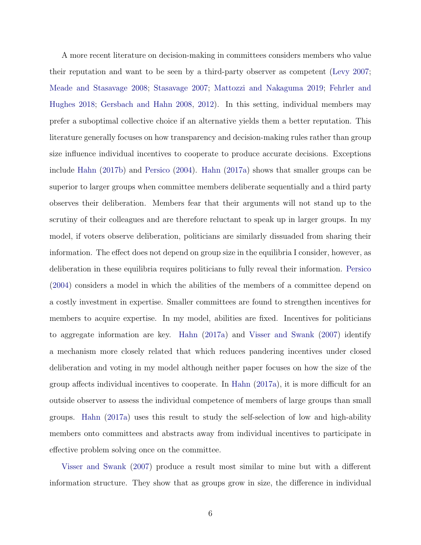A more recent literature on decision-making in committees considers members who value their reputation and want to be seen by a third-party observer as competent [\(Levy](#page-45-6) [2007;](#page-45-6) [Meade and Stasavage](#page-45-7) [2008;](#page-45-7) [Stasavage](#page-46-0) [2007;](#page-46-0) [Mattozzi and Nakaguma](#page-45-8) [2019;](#page-45-8) [Fehrler and](#page-44-4) [Hughes](#page-44-4) [2018;](#page-44-4) [Gersbach and Hahn](#page-44-5) [2008,](#page-44-5) [2012\)](#page-44-6). In this setting, individual members may prefer a suboptimal collective choice if an alternative yields them a better reputation. This literature generally focuses on how transparency and decision-making rules rather than group size influence individual incentives to cooperate to produce accurate decisions. Exceptions include [Hahn](#page-44-7) [\(2017b\)](#page-44-7) and [Persico](#page-45-9) [\(2004\)](#page-45-9). [Hahn](#page-44-8) [\(2017a\)](#page-44-8) shows that smaller groups can be superior to larger groups when committee members deliberate sequentially and a third party observes their deliberation. Members fear that their arguments will not stand up to the scrutiny of their colleagues and are therefore reluctant to speak up in larger groups. In my model, if voters observe deliberation, politicians are similarly dissuaded from sharing their information. The effect does not depend on group size in the equilibria I consider, however, as deliberation in these equilibria requires politicians to fully reveal their information. [Persico](#page-45-9) [\(2004\)](#page-45-9) considers a model in which the abilities of the members of a committee depend on a costly investment in expertise. Smaller committees are found to strengthen incentives for members to acquire expertise. In my model, abilities are fixed. Incentives for politicians to aggregate information are key. [Hahn](#page-44-8) [\(2017a\)](#page-44-8) and [Visser and Swank](#page-46-1) [\(2007\)](#page-46-1) identify a mechanism more closely related that which reduces pandering incentives under closed deliberation and voting in my model although neither paper focuses on how the size of the group affects individual incentives to cooperate. In [Hahn](#page-44-8) [\(2017a\)](#page-44-8), it is more difficult for an outside observer to assess the individual competence of members of large groups than small groups. [Hahn](#page-44-8) [\(2017a\)](#page-44-8) uses this result to study the self-selection of low and high-ability members onto committees and abstracts away from individual incentives to participate in effective problem solving once on the committee.

[Visser and Swank](#page-46-1) [\(2007\)](#page-46-1) produce a result most similar to mine but with a different information structure. They show that as groups grow in size, the difference in individual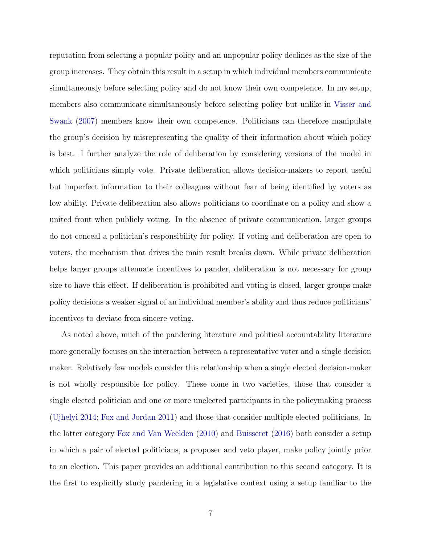reputation from selecting a popular policy and an unpopular policy declines as the size of the group increases. They obtain this result in a setup in which individual members communicate simultaneously before selecting policy and do not know their own competence. In my setup, members also communicate simultaneously before selecting policy but unlike in [Visser and](#page-46-1) [Swank](#page-46-1) [\(2007\)](#page-46-1) members know their own competence. Politicians can therefore manipulate the group's decision by misrepresenting the quality of their information about which policy is best. I further analyze the role of deliberation by considering versions of the model in which politicians simply vote. Private deliberation allows decision-makers to report useful but imperfect information to their colleagues without fear of being identified by voters as low ability. Private deliberation also allows politicians to coordinate on a policy and show a united front when publicly voting. In the absence of private communication, larger groups do not conceal a politician's responsibility for policy. If voting and deliberation are open to voters, the mechanism that drives the main result breaks down. While private deliberation helps larger groups attenuate incentives to pander, deliberation is not necessary for group size to have this effect. If deliberation is prohibited and voting is closed, larger groups make policy decisions a weaker signal of an individual member's ability and thus reduce politicians' incentives to deviate from sincere voting.

As noted above, much of the pandering literature and political accountability literature more generally focuses on the interaction between a representative voter and a single decision maker. Relatively few models consider this relationship when a single elected decision-maker is not wholly responsible for policy. These come in two varieties, those that consider a single elected politician and one or more unelected participants in the policymaking process [\(Ujhelyi](#page-46-2) [2014;](#page-46-2) [Fox and Jordan](#page-44-9) [2011\)](#page-44-9) and those that consider multiple elected politicians. In the latter category [Fox and Van Weelden](#page-44-10) [\(2010\)](#page-44-10) and [Buisseret](#page-43-9) [\(2016\)](#page-43-9) both consider a setup in which a pair of elected politicians, a proposer and veto player, make policy jointly prior to an election. This paper provides an additional contribution to this second category. It is the first to explicitly study pandering in a legislative context using a setup familiar to the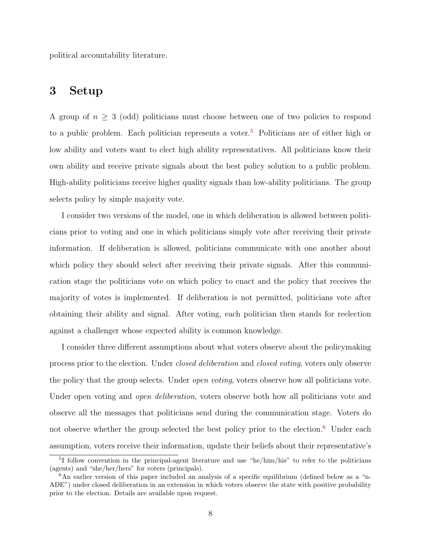political accountability literature.

## 3 Setup

A group of  $n \geq 3$  (odd) politicians must choose between one of two policies to respond to a public problem. Each politician represents a voter.<sup>[5](#page-0-0)</sup> Politicians are of either high or low ability and voters want to elect high ability representatives. All politicians know their own ability and receive private signals about the best policy solution to a public problem. High-ability politicians receive higher quality signals than low-ability politicians. The group selects policy by simple majority vote.

I consider two versions of the model, one in which deliberation is allowed between politicians prior to voting and one in which politicians simply vote after receiving their private information. If deliberation is allowed, politicians communicate with one another about which policy they should select after receiving their private signals. After this communication stage the politicians vote on which policy to enact and the policy that receives the majority of votes is implemented. If deliberation is not permitted, politicians vote after obtaining their ability and signal. After voting, each politician then stands for reelection against a challenger whose expected ability is common knowledge.

I consider three different assumptions about what voters observe about the policymaking process prior to the election. Under closed deliberation and closed voting, voters only observe the policy that the group selects. Under open voting, voters observe how all politicians vote. Under open voting and *open deliberation*, voters observe both how all politicians vote and observe all the messages that politicians send during the communication stage. Voters do not observe whether the group selected the best policy prior to the election.<sup>[6](#page-0-0)</sup> Under each assumption, voters receive their information, update their beliefs about their representative's

<sup>5</sup> I follow convention in the principal-agent literature and use "he/him/his" to refer to the politicians (agents) and "she/her/hers" for voters (principals).

 $6$ An earlier version of this paper included an analysis of a specific equilibrium (defined below as a "n-ADE") under closed deliberation in an extension in which voters observe the state with positive probability prior to the election. Details are available upon request.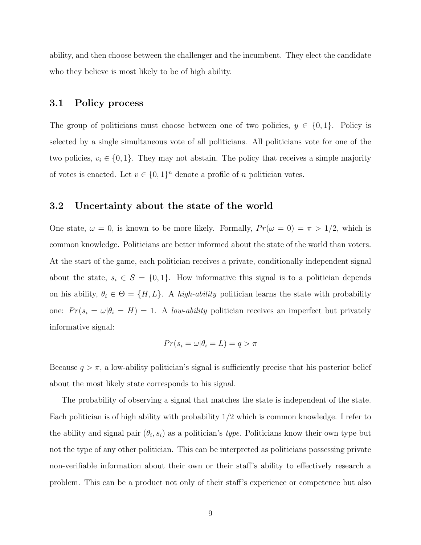ability, and then choose between the challenger and the incumbent. They elect the candidate who they believe is most likely to be of high ability.

#### 3.1 Policy process

The group of politicians must choose between one of two policies,  $y \in \{0, 1\}$ . Policy is selected by a single simultaneous vote of all politicians. All politicians vote for one of the two policies,  $v_i \in \{0, 1\}$ . They may not abstain. The policy that receives a simple majority of votes is enacted. Let  $v \in \{0,1\}^n$  denote a profile of n politician votes.

## 3.2 Uncertainty about the state of the world

One state,  $\omega = 0$ , is known to be more likely. Formally,  $Pr(\omega = 0) = \pi > 1/2$ , which is common knowledge. Politicians are better informed about the state of the world than voters. At the start of the game, each politician receives a private, conditionally independent signal about the state,  $s_i \in S = \{0, 1\}$ . How informative this signal is to a politician depends on his ability,  $\theta_i \in \Theta = \{H, L\}$ . A high-ability politician learns the state with probability one:  $Pr(s_i = \omega | \theta_i = H) = 1$ . A low-ability politician receives an imperfect but privately informative signal:

$$
Pr(s_i = \omega | \theta_i = L) = q > \pi
$$

Because  $q > \pi$ , a low-ability politician's signal is sufficiently precise that his posterior belief about the most likely state corresponds to his signal.

The probability of observing a signal that matches the state is independent of the state. Each politician is of high ability with probability  $1/2$  which is common knowledge. I refer to the ability and signal pair  $(\theta_i, s_i)$  as a politician's *type*. Politicians know their own type but not the type of any other politician. This can be interpreted as politicians possessing private non-verifiable information about their own or their staff's ability to effectively research a problem. This can be a product not only of their staff's experience or competence but also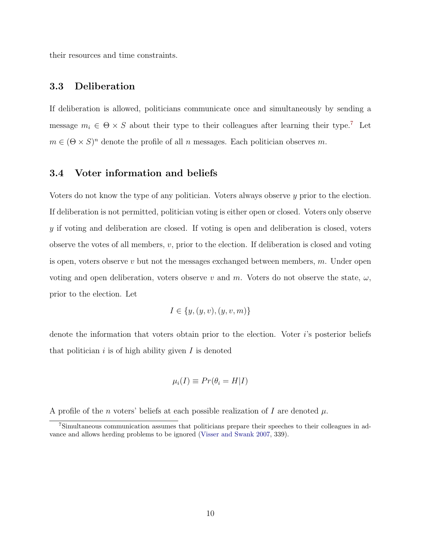their resources and time constraints.

### 3.3 Deliberation

If deliberation is allowed, politicians communicate once and simultaneously by sending a message  $m_i \in \Theta \times S$  about their type to their colleagues after learning their type.<sup>[7](#page-0-0)</sup> Let  $m \in (\Theta \times S)^n$  denote the profile of all n messages. Each politician observes m.

#### 3.4 Voter information and beliefs

Voters do not know the type of any politician. Voters always observe y prior to the election. If deliberation is not permitted, politician voting is either open or closed. Voters only observe y if voting and deliberation are closed. If voting is open and deliberation is closed, voters observe the votes of all members, v, prior to the election. If deliberation is closed and voting is open, voters observe v but not the messages exchanged between members,  $m$ . Under open voting and open deliberation, voters observe v and m. Voters do not observe the state,  $\omega$ , prior to the election. Let

$$
I \in \{y, (y, v), (y, v, m)\}
$$

denote the information that voters obtain prior to the election. Voter  $i$ 's posterior beliefs that politician  $i$  is of high ability given  $I$  is denoted

$$
\mu_i(I) \equiv Pr(\theta_i = H|I)
$$

A profile of the n voters' beliefs at each possible realization of I are denoted  $\mu$ .

<sup>7</sup>Simultaneous communication assumes that politicians prepare their speeches to their colleagues in advance and allows herding problems to be ignored [\(Visser and Swank](#page-46-1) [2007,](#page-46-1) 339).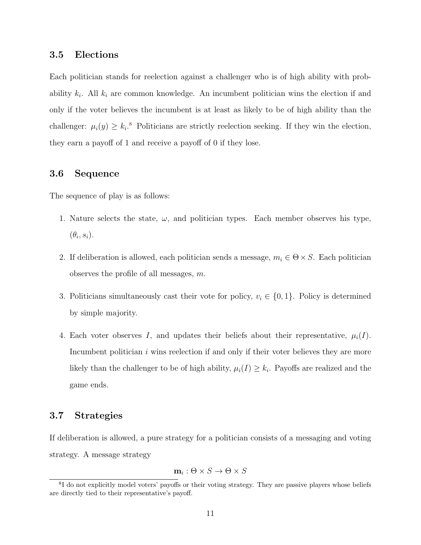#### 3.5 Elections

Each politician stands for reelection against a challenger who is of high ability with probability  $k_i$ . All  $k_i$  are common knowledge. An incumbent politician wins the election if and only if the voter believes the incumbent is at least as likely to be of high ability than the challenger:  $\mu_i(y) \geq k_i$ <sup>[8](#page-0-0)</sup> Politicians are strictly reelection seeking. If they win the election, they earn a payoff of 1 and receive a payoff of 0 if they lose.

#### 3.6 Sequence

The sequence of play is as follows:

- 1. Nature selects the state,  $\omega$ , and politician types. Each member observes his type,  $(\theta_i, s_i)$ .
- 2. If deliberation is allowed, each politician sends a message,  $m_i \in \Theta \times S$ . Each politician observes the profile of all messages, m.
- 3. Politicians simultaneously cast their vote for policy,  $v_i \in \{0, 1\}$ . Policy is determined by simple majority.
- 4. Each voter observes I, and updates their beliefs about their representative,  $\mu_i(I)$ . Incumbent politician  $i$  wins reelection if and only if their voter believes they are more likely than the challenger to be of high ability,  $\mu_i(I) \geq k_i$ . Payoffs are realized and the game ends.

### 3.7 Strategies

If deliberation is allowed, a pure strategy for a politician consists of a messaging and voting strategy. A message strategy

$$
\mathbf{m}_i: \Theta \times S \to \Theta \times S
$$

<sup>&</sup>lt;sup>8</sup>I do not explicitly model voters' payoffs or their voting strategy. They are passive players whose beliefs are directly tied to their representative's payoff.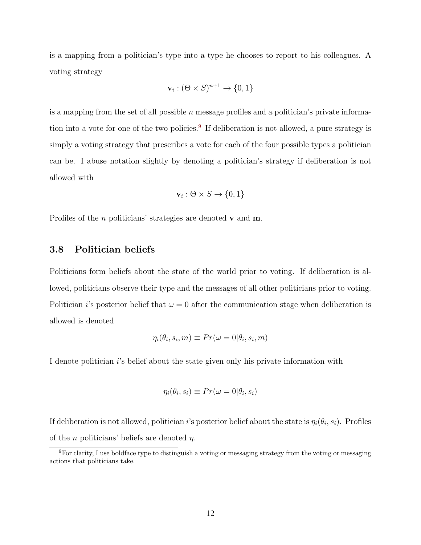is a mapping from a politician's type into a type he chooses to report to his colleagues. A voting strategy

$$
\mathbf{v}_i : (\Theta \times S)^{n+1} \to \{0, 1\}
$$

is a mapping from the set of all possible  $n$  message profiles and a politician's private informa-tion into a vote for one of the two policies.<sup>[9](#page-0-0)</sup> If deliberation is not allowed, a pure strategy is simply a voting strategy that prescribes a vote for each of the four possible types a politician can be. I abuse notation slightly by denoting a politician's strategy if deliberation is not allowed with

$$
\mathbf{v}_i: \Theta \times S \to \{0, 1\}
$$

Profiles of the *n* politicians' strategies are denoted **v** and **m**.

### 3.8 Politician beliefs

Politicians form beliefs about the state of the world prior to voting. If deliberation is allowed, politicians observe their type and the messages of all other politicians prior to voting. Politician *i*'s posterior belief that  $\omega = 0$  after the communication stage when deliberation is allowed is denoted

$$
\eta_i(\theta_i, s_i, m) \equiv Pr(\omega = 0 | \theta_i, s_i, m)
$$

I denote politician *i*'s belief about the state given only his private information with

$$
\eta_i(\theta_i, s_i) \equiv Pr(\omega = 0 | \theta_i, s_i)
$$

If deliberation is not allowed, politician *i*'s posterior belief about the state is  $\eta_i(\theta_i, s_i)$ . Profiles of the *n* politicians' beliefs are denoted  $\eta$ .

<sup>9</sup>For clarity, I use boldface type to distinguish a voting or messaging strategy from the voting or messaging actions that politicians take.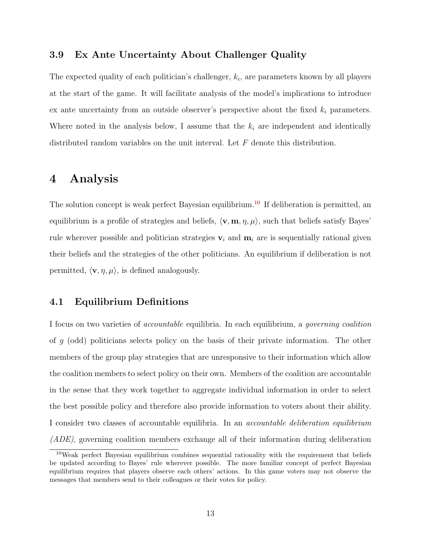### 3.9 Ex Ante Uncertainty About Challenger Quality

The expected quality of each politician's challenger,  $k_i$ , are parameters known by all players at the start of the game. It will facilitate analysis of the model's implications to introduce ex ante uncertainty from an outside observer's perspective about the fixed  $k_i$  parameters. Where noted in the analysis below, I assume that the  $k_i$  are independent and identically distributed random variables on the unit interval. Let F denote this distribution.

## 4 Analysis

The solution concept is weak perfect Bayesian equilibrium.<sup>[10](#page-0-0)</sup> If deliberation is permitted, an equilibrium is a profile of strategies and beliefs,  $\langle \mathbf{v}, \mathbf{m}, \eta, \mu \rangle$ , such that beliefs satisfy Bayes' rule wherever possible and politician strategies  $v_i$  and  $m_i$  are is sequentially rational given their beliefs and the strategies of the other politicians. An equilibrium if deliberation is not permitted,  $\langle \mathbf{v}, \eta, \mu \rangle$ , is defined analogously.

## 4.1 Equilibrium Definitions

I focus on two varieties of accountable equilibria. In each equilibrium, a governing coalition of g (odd) politicians selects policy on the basis of their private information. The other members of the group play strategies that are unresponsive to their information which allow the coalition members to select policy on their own. Members of the coalition are accountable in the sense that they work together to aggregate individual information in order to select the best possible policy and therefore also provide information to voters about their ability. I consider two classes of accountable equilibria. In an accountable deliberation equilibrium (ADE), governing coalition members exchange all of their information during deliberation

<sup>&</sup>lt;sup>10</sup>Weak perfect Bayesian equilibrium combines sequential rationality with the requirement that beliefs be updated according to Bayes' rule wherever possible. The more familiar concept of perfect Bayesian equilibrium requires that players observe each others' actions. In this game voters may not observe the messages that members send to their colleagues or their votes for policy.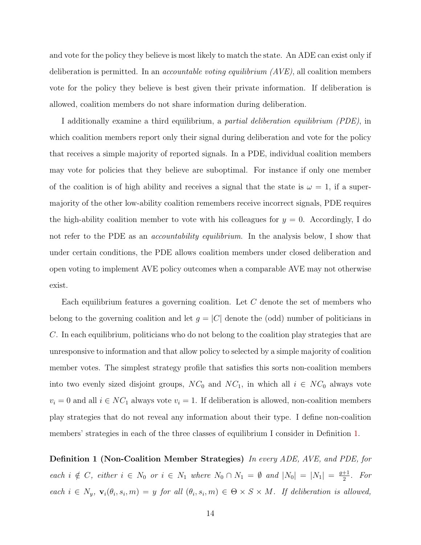and vote for the policy they believe is most likely to match the state. An ADE can exist only if deliberation is permitted. In an accountable voting equilibrium (AVE), all coalition members vote for the policy they believe is best given their private information. If deliberation is allowed, coalition members do not share information during deliberation.

I additionally examine a third equilibrium, a partial deliberation equilibrium (PDE), in which coalition members report only their signal during deliberation and vote for the policy that receives a simple majority of reported signals. In a PDE, individual coalition members may vote for policies that they believe are suboptimal. For instance if only one member of the coalition is of high ability and receives a signal that the state is  $\omega = 1$ , if a supermajority of the other low-ability coalition remembers receive incorrect signals, PDE requires the high-ability coalition member to vote with his colleagues for  $y = 0$ . Accordingly, I do not refer to the PDE as an *accountability equilibrium*. In the analysis below, I show that under certain conditions, the PDE allows coalition members under closed deliberation and open voting to implement AVE policy outcomes when a comparable AVE may not otherwise exist.

Each equilibrium features a governing coalition. Let C denote the set of members who belong to the governing coalition and let  $g = |C|$  denote the (odd) number of politicians in C. In each equilibrium, politicians who do not belong to the coalition play strategies that are unresponsive to information and that allow policy to selected by a simple majority of coalition member votes. The simplest strategy profile that satisfies this sorts non-coalition members into two evenly sized disjoint groups,  $NC_0$  and  $NC_1$ , in which all  $i \in NC_0$  always vote  $v_i = 0$  and all  $i \in NC_1$  always vote  $v_i = 1$ . If deliberation is allowed, non-coalition members play strategies that do not reveal any information about their type. I define non-coalition members' strategies in each of the three classes of equilibrium I consider in Definition [1.](#page-14-0)

<span id="page-14-0"></span>Definition 1 (Non-Coalition Member Strategies) In every ADE, AVE, and PDE, for each  $i \notin C$ , either  $i \in N_0$  or  $i \in N_1$  where  $N_0 \cap N_1 = \emptyset$  and  $|N_0| = |N_1| = \frac{g+1}{2}$  $rac{+1}{2}$ . For each  $i \in N_y$ ,  $\mathbf{v}_i(\theta_i, s_i, m) = y$  for all  $(\theta_i, s_i, m) \in \Theta \times S \times M$ . If deliberation is allowed,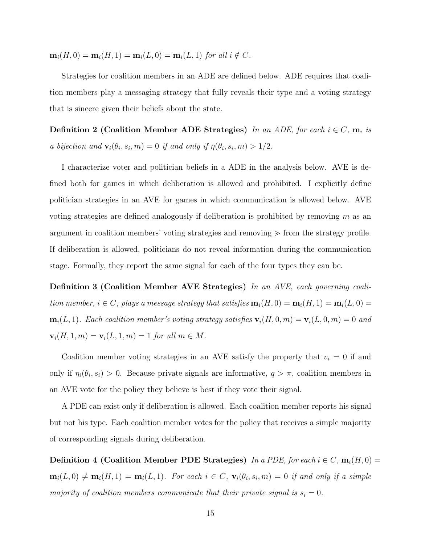$m_i(H, 0) = m_i(H, 1) = m_i(L, 0) = m_i(L, 1)$  for all  $i \notin C$ .

Strategies for coalition members in an ADE are defined below. ADE requires that coalition members play a messaging strategy that fully reveals their type and a voting strategy that is sincere given their beliefs about the state.

<span id="page-15-0"></span>Definition 2 (Coalition Member ADE Strategies) In an ADE, for each  $i \in C$ ,  $m_i$  is a bijection and  $\mathbf{v}_i(\theta_i, s_i, m) = 0$  if and only if  $\eta(\theta_i, s_i, m) > 1/2$ .

I characterize voter and politician beliefs in a ADE in the analysis below. AVE is defined both for games in which deliberation is allowed and prohibited. I explicitly define politician strategies in an AVE for games in which communication is allowed below. AVE voting strategies are defined analogously if deliberation is prohibited by removing  $m$  as an argument in coalition members' voting strategies and removing  $\geq$  from the strategy profile. If deliberation is allowed, politicians do not reveal information during the communication stage. Formally, they report the same signal for each of the four types they can be.

<span id="page-15-1"></span>Definition 3 (Coalition Member AVE Strategies) In an AVE, each governing coalition member,  $i \in C$ , plays a message strategy that satisfies  $\mathbf{m}_i(H, 0) = \mathbf{m}_i(H, 1) = \mathbf{m}_i(L, 0)$  $m_i(L, 1)$ . Each coalition member's voting strategy satisfies  $v_i(H, 0, m) = v_i(L, 0, m) = 0$  and  $\mathbf{v}_i(H, 1, m) = \mathbf{v}_i(L, 1, m) = 1$  for all  $m \in M$ .

Coalition member voting strategies in an AVE satisfy the property that  $v_i = 0$  if and only if  $\eta_i(\theta_i, s_i) > 0$ . Because private signals are informative,  $q > \pi$ , coalition members in an AVE vote for the policy they believe is best if they vote their signal.

A PDE can exist only if deliberation is allowed. Each coalition member reports his signal but not his type. Each coalition member votes for the policy that receives a simple majority of corresponding signals during deliberation.

**Definition 4 (Coalition Member PDE Strategies)** In a PDE, for each  $i \in C$ ,  $m_i(H, 0) =$  $m_i(L,0) \neq m_i(H,1) = m_i(L,1)$ . For each  $i \in C$ ,  $\mathbf{v}_i(\theta_i,s_i,m) = 0$  if and only if a simple majority of coalition members communicate that their private signal is  $s_i = 0$ .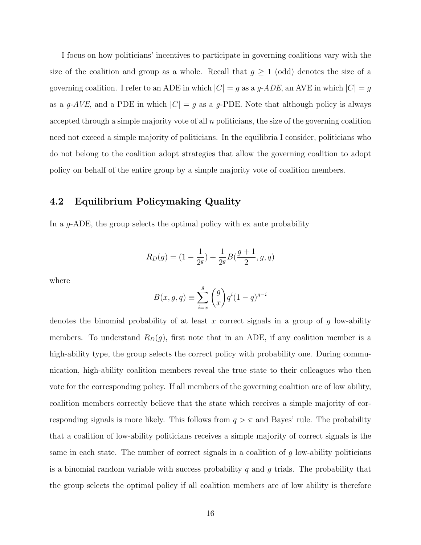I focus on how politicians' incentives to participate in governing coalitions vary with the size of the coalition and group as a whole. Recall that  $g \geq 1$  (odd) denotes the size of a governing coalition. I refer to an ADE in which  $|C| = g$  as a g-ADE, an AVE in which  $|C| = g$ as a g-AVE, and a PDE in which  $|C| = g$  as a g-PDE. Note that although policy is always accepted through a simple majority vote of all  $n$  politicians, the size of the governing coalition need not exceed a simple majority of politicians. In the equilibria I consider, politicians who do not belong to the coalition adopt strategies that allow the governing coalition to adopt policy on behalf of the entire group by a simple majority vote of coalition members.

## 4.2 Equilibrium Policymaking Quality

In a g-ADE, the group selects the optimal policy with ex ante probability

$$
R_D(g) = (1 - \frac{1}{2^g}) + \frac{1}{2^g}B(\frac{g+1}{2}, g, q)
$$

where

$$
B(x, g, q) \equiv \sum_{i=x}^{g} {g \choose x} q^{i} (1-q)^{g-i}
$$

denotes the binomial probability of at least x correct signals in a group of  $g$  low-ability members. To understand  $R_D(g)$ , first note that in an ADE, if any coalition member is a high-ability type, the group selects the correct policy with probability one. During communication, high-ability coalition members reveal the true state to their colleagues who then vote for the corresponding policy. If all members of the governing coalition are of low ability, coalition members correctly believe that the state which receives a simple majority of corresponding signals is more likely. This follows from  $q > \pi$  and Bayes' rule. The probability that a coalition of low-ability politicians receives a simple majority of correct signals is the same in each state. The number of correct signals in a coalition of g low-ability politicians is a binomial random variable with success probability  $q$  and  $q$  trials. The probability that the group selects the optimal policy if all coalition members are of low ability is therefore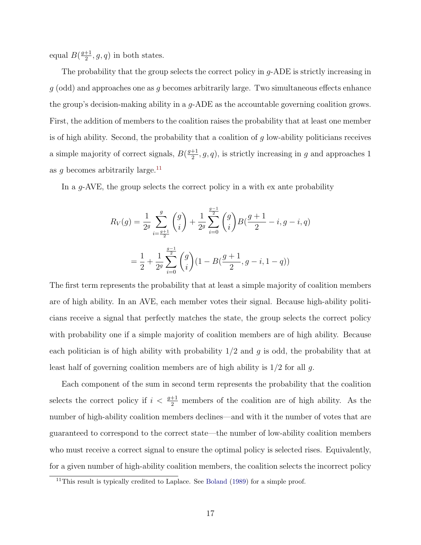equal  $B(\frac{g+1}{2})$  $\frac{+1}{2}$ , g, q) in both states.

The probability that the group selects the correct policy in g-ADE is strictly increasing in  $g$  (odd) and approaches one as g becomes arbitrarily large. Two simultaneous effects enhance the group's decision-making ability in a  $q$ -ADE as the accountable governing coalition grows. First, the addition of members to the coalition raises the probability that at least one member is of high ability. Second, the probability that a coalition of  $q$  low-ability politicians receives a simple majority of correct signals,  $B\left(\frac{g+1}{2}\right)$  $\frac{+1}{2}$ , g, q), is strictly increasing in g and approaches 1 as g becomes arbitrarily large.<sup>[11](#page-0-0)</sup>

In a g-AVE, the group selects the correct policy in a with ex ante probability

$$
R_V(g) = \frac{1}{2^g} \sum_{i=\frac{g+1}{2}}^g {g \choose i} + \frac{1}{2^g} \sum_{i=0}^{\frac{g-1}{2}} {g \choose i} B(\frac{g+1}{2} - i, g - i, q)
$$

$$
= \frac{1}{2} + \frac{1}{2^g} \sum_{i=0}^{\frac{g-1}{2}} {g \choose i} (1 - B(\frac{g+1}{2}, g - i, 1 - q))
$$

The first term represents the probability that at least a simple majority of coalition members are of high ability. In an AVE, each member votes their signal. Because high-ability politicians receive a signal that perfectly matches the state, the group selects the correct policy with probability one if a simple majority of coalition members are of high ability. Because each politician is of high ability with probability  $1/2$  and g is odd, the probability that at least half of governing coalition members are of high ability is  $1/2$  for all g.

Each component of the sum in second term represents the probability that the coalition selects the correct policy if  $i < \frac{g+1}{2}$  members of the coalition are of high ability. As the number of high-ability coalition members declines—and with it the number of votes that are guaranteed to correspond to the correct state—the number of low-ability coalition members who must receive a correct signal to ensure the optimal policy is selected rises. Equivalently, for a given number of high-ability coalition members, the coalition selects the incorrect policy

 $11$ This result is typically credited to Laplace. See [Boland](#page-43-10) [\(1989\)](#page-43-10) for a simple proof.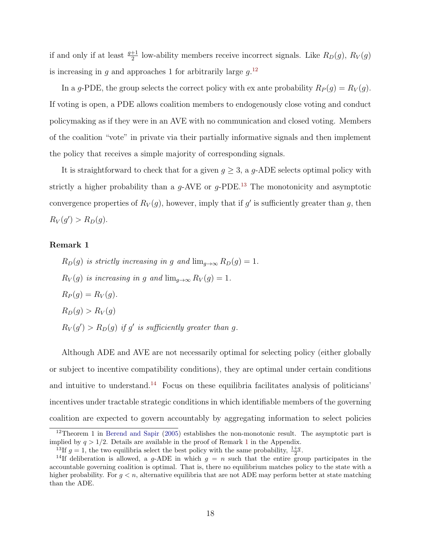if and only if at least  $\frac{g+1}{2}$  low-ability members receive incorrect signals. Like  $R_D(g)$ ,  $R_V(g)$ is increasing in g and approaches 1 for arbitrarily large  $g^{12}$  $g^{12}$  $g^{12}$ .

In a g-PDE, the group selects the correct policy with ex ante probability  $R_P(g) = R_V(g)$ . If voting is open, a PDE allows coalition members to endogenously close voting and conduct policymaking as if they were in an AVE with no communication and closed voting. Members of the coalition "vote" in private via their partially informative signals and then implement the policy that receives a simple majority of corresponding signals.

It is straightforward to check that for a given  $g \geq 3$ , a g-ADE selects optimal policy with strictly a higher probability than a  $q$ -AVE or  $q$ -PDE.<sup>[13](#page-0-0)</sup> The monotonicity and asymptotic convergence properties of  $R_V(g)$ , however, imply that if g' is sufficiently greater than g, then  $R_V(g') > R_D(g).$ 

#### <span id="page-18-0"></span>Remark 1

 $R_D(g)$  is strictly increasing in g and  $\lim_{q\to\infty} R_D(g) = 1$ .  $R_V(g)$  is increasing in g and  $\lim_{q\to\infty} R_V(g) = 1$ .  $R_P(q) = R_V(q)$ .  $R_D(q) > R_V(q)$  $R_V(g') > R_D(g)$  if g' is sufficiently greater than g.

Although ADE and AVE are not necessarily optimal for selecting policy (either globally or subject to incentive compatibility conditions), they are optimal under certain conditions and intuitive to understand.<sup>[14](#page-0-0)</sup> Focus on these equilibria facilitates analysis of politicians' incentives under tractable strategic conditions in which identifiable members of the governing coalition are expected to govern accountably by aggregating information to select policies

 $12$ Theorem 1 in [Berend and Sapir](#page-43-3) [\(2005\)](#page-43-3) establishes the non-monotonic result. The asymptotic part is implied by  $q > 1/2$  $q > 1/2$  $q > 1/2$ . Details are available in the proof of Remark 1 in the Appendix.

<sup>&</sup>lt;sup>13</sup>If  $g = 1$ , the two equilibria select the best policy with the same probability,  $\frac{1+q}{2}$ .

<sup>&</sup>lt;sup>14</sup>If deliberation is allowed, a g-ADE in which  $g = n$  such that the entire group participates in the accountable governing coalition is optimal. That is, there no equilibrium matches policy to the state with a higher probability. For  $g < n$ , alternative equilibria that are not ADE may perform better at state matching than the ADE.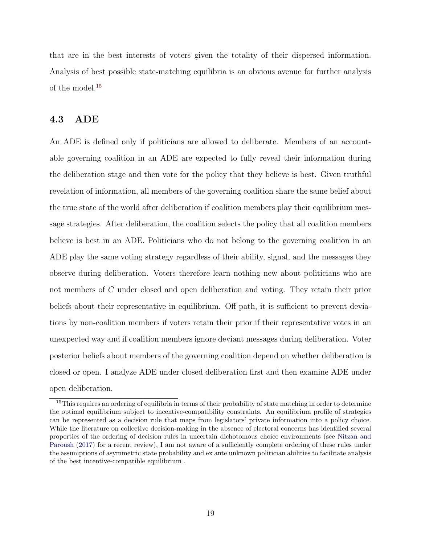that are in the best interests of voters given the totality of their dispersed information. Analysis of best possible state-matching equilibria is an obvious avenue for further analysis of the model.[15](#page-0-0)

#### 4.3 ADE

An ADE is defined only if politicians are allowed to deliberate. Members of an accountable governing coalition in an ADE are expected to fully reveal their information during the deliberation stage and then vote for the policy that they believe is best. Given truthful revelation of information, all members of the governing coalition share the same belief about the true state of the world after deliberation if coalition members play their equilibrium message strategies. After deliberation, the coalition selects the policy that all coalition members believe is best in an ADE. Politicians who do not belong to the governing coalition in an ADE play the same voting strategy regardless of their ability, signal, and the messages they observe during deliberation. Voters therefore learn nothing new about politicians who are not members of C under closed and open deliberation and voting. They retain their prior beliefs about their representative in equilibrium. Off path, it is sufficient to prevent deviations by non-coalition members if voters retain their prior if their representative votes in an unexpected way and if coalition members ignore deviant messages during deliberation. Voter posterior beliefs about members of the governing coalition depend on whether deliberation is closed or open. I analyze ADE under closed deliberation first and then examine ADE under open deliberation.

<sup>&</sup>lt;sup>15</sup>This requires an ordering of equilibria in terms of their probability of state matching in order to determine the optimal equilibrium subject to incentive-compatibility constraints. An equilibrium profile of strategies can be represented as a decision rule that maps from legislators' private information into a policy choice. While the literature on collective decision-making in the absence of electoral concerns has identified several properties of the ordering of decision rules in uncertain dichotomous choice environments (see [Nitzan and](#page-45-10) [Paroush](#page-45-10) [\(2017\)](#page-45-10) for a recent review), I am not aware of a sufficiently complete ordering of these rules under the assumptions of asymmetric state probability and ex ante unknown politician abilities to facilitate analysis of the best incentive-compatible equilibrium .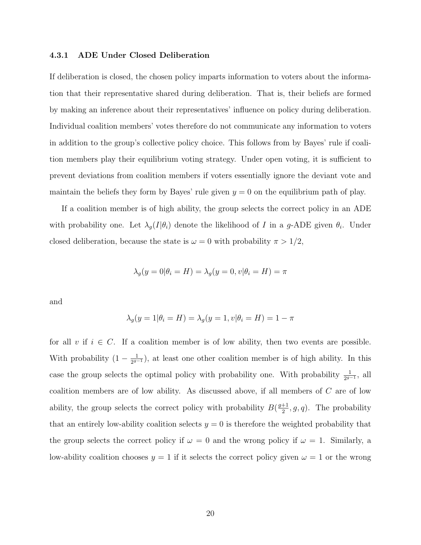#### 4.3.1 ADE Under Closed Deliberation

If deliberation is closed, the chosen policy imparts information to voters about the information that their representative shared during deliberation. That is, their beliefs are formed by making an inference about their representatives' influence on policy during deliberation. Individual coalition members' votes therefore do not communicate any information to voters in addition to the group's collective policy choice. This follows from by Bayes' rule if coalition members play their equilibrium voting strategy. Under open voting, it is sufficient to prevent deviations from coalition members if voters essentially ignore the deviant vote and maintain the beliefs they form by Bayes' rule given  $y = 0$  on the equilibrium path of play.

If a coalition member is of high ability, the group selects the correct policy in an ADE with probability one. Let  $\lambda_g(I|\theta_i)$  denote the likelihood of I in a g-ADE given  $\theta_i$ . Under closed deliberation, because the state is  $\omega = 0$  with probability  $\pi > 1/2$ ,

$$
\lambda_g(y=0|\theta_i = H) = \lambda_g(y=0, v|\theta_i = H) = \pi
$$

and

$$
\lambda_g(y = 1 | \theta_i = H) = \lambda_g(y = 1, v | \theta_i = H) = 1 - \pi
$$

for all v if  $i \in C$ . If a coalition member is of low ability, then two events are possible. With probability  $(1 - \frac{1}{2q})$  $\frac{1}{2^{g-1}}$ , at least one other coalition member is of high ability. In this case the group selects the optimal policy with probability one. With probability  $\frac{1}{2^{g-1}}$ , all coalition members are of low ability. As discussed above, if all members of C are of low ability, the group selects the correct policy with probability  $B(\frac{g+1}{2})$  $\frac{+1}{2}$ , g, q). The probability that an entirely low-ability coalition selects  $y = 0$  is therefore the weighted probability that the group selects the correct policy if  $\omega = 0$  and the wrong policy if  $\omega = 1$ . Similarly, a low-ability coalition chooses  $y = 1$  if it selects the correct policy given  $\omega = 1$  or the wrong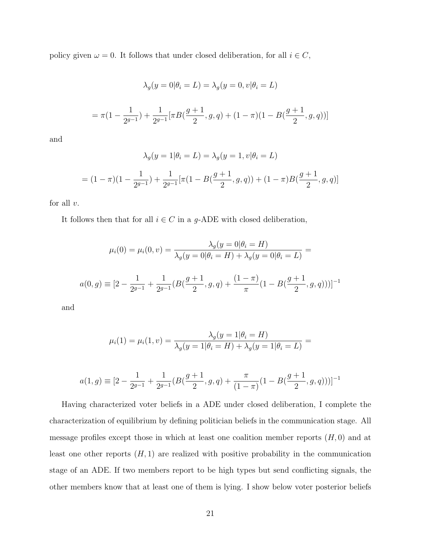policy given  $\omega = 0$ . It follows that under closed deliberation, for all  $i \in C$ ,

$$
\lambda_g(y=0|\theta_i=L) = \lambda_g(y=0, v|\theta_i=L)
$$
  
=  $\pi(1 - \frac{1}{2^{g-1}}) + \frac{1}{2^{g-1}} [\pi B(\frac{g+1}{2}, g, q) + (1 - \pi)(1 - B(\frac{g+1}{2}, g, q))]$ 

and

$$
\lambda_g(y=1|\theta_i=L) = \lambda_g(y=1, v|\theta_i=L)
$$
  
=  $(1-\pi)(1-\frac{1}{2g-1}) + \frac{1}{2g-1}[\pi(1-B(\frac{g+1}{2}, g, q)) + (1-\pi)B(\frac{g+1}{2}, g, q)]$ 

for all  $v$ .

It follows then that for all  $i \in C$  in a g-ADE with closed deliberation,

$$
\mu_i(0) = \mu_i(0, v) = \frac{\lambda_g(y = 0 | \theta_i = H)}{\lambda_g(y = 0 | \theta_i = H) + \lambda_g(y = 0 | \theta_i = L)} =
$$
  

$$
a(0, g) \equiv \left[2 - \frac{1}{2^{g-1}} + \frac{1}{2^{g-1}}(B(\frac{g+1}{2}, g, q) + \frac{(1-\pi)}{\pi}(1 - B(\frac{g+1}{2}, g, q)))\right]^{-1}
$$

and

$$
\mu_i(1) = \mu_i(1, v) = \frac{\lambda_g(y = 1 | \theta_i = H)}{\lambda_g(y = 1 | \theta_i = H) + \lambda_g(y = 1 | \theta_i = L)} =
$$

$$
a(1,g) \equiv [2 - \frac{1}{2^{g-1}} + \frac{1}{2^{g-1}}(B(\frac{g+1}{2}, g, q) + \frac{\pi}{(1-\pi)}(1 - B(\frac{g+1}{2}, g, q)))]^{-1}
$$

Having characterized voter beliefs in a ADE under closed deliberation, I complete the characterization of equilibrium by defining politician beliefs in the communication stage. All message profiles except those in which at least one coalition member reports  $(H, 0)$  and at least one other reports  $(H, 1)$  are realized with positive probability in the communication stage of an ADE. If two members report to be high types but send conflicting signals, the other members know that at least one of them is lying. I show below voter posterior beliefs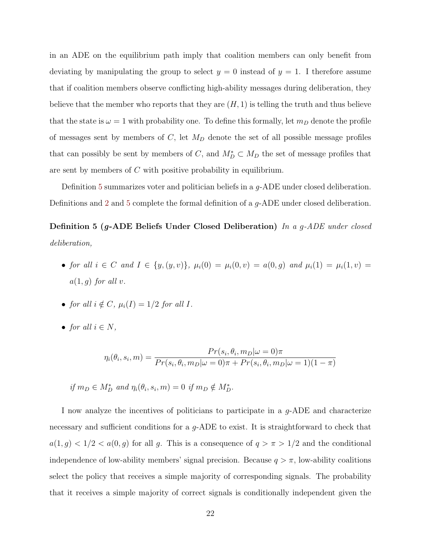in an ADE on the equilibrium path imply that coalition members can only benefit from deviating by manipulating the group to select  $y = 0$  instead of  $y = 1$ . I therefore assume that if coalition members observe conflicting high-ability messages during deliberation, they believe that the member who reports that they are  $(H, 1)$  is telling the truth and thus believe that the state is  $\omega = 1$  with probability one. To define this formally, let  $m_D$  denote the profile of messages sent by members of  $C$ , let  $M_D$  denote the set of all possible message profiles that can possibly be sent by members of C, and  $M_D^* \subset M_D$  the set of message profiles that are sent by members of C with positive probability in equilibrium.

Definition [5](#page-22-0) summarizes voter and politician beliefs in a *q*-ADE under closed deliberation. Definitions and [2](#page-15-0) and [5](#page-22-0) complete the formal definition of a g-ADE under closed deliberation.

<span id="page-22-0"></span>Definition 5 (g-ADE Beliefs Under Closed Deliberation) In a g-ADE under closed deliberation,

- for all  $i \in C$  and  $I \in \{y, (y, v)\}, \mu_i(0) = \mu_i(0, v) = a(0, g)$  and  $\mu_i(1) = \mu_i(1, v) = a(0, v)$  $a(1, q)$  for all v.
- for all  $i \notin C$ ,  $\mu_i(I) = 1/2$  for all I.
- for all  $i \in N$ ,

$$
\eta_i(\theta_i, s_i, m) = \frac{Pr(s_i, \theta_i, m_D | \omega = 0)\pi}{Pr(s_i, \theta_i, m_D | \omega = 0)\pi + Pr(s_i, \theta_i, m_D | \omega = 1)(1 - \pi)}
$$

if  $m_D \in M_D^*$  and  $\eta_i(\theta_i, s_i, m) = 0$  if  $m_D \notin M_D^*$ .

I now analyze the incentives of politicians to participate in a g-ADE and characterize necessary and sufficient conditions for a g-ADE to exist. It is straightforward to check that  $a(1, g) < 1/2 < a(0, g)$  for all g. This is a consequence of  $q > \pi > 1/2$  and the conditional independence of low-ability members' signal precision. Because  $q > \pi$ , low-ability coalitions select the policy that receives a simple majority of corresponding signals. The probability that it receives a simple majority of correct signals is conditionally independent given the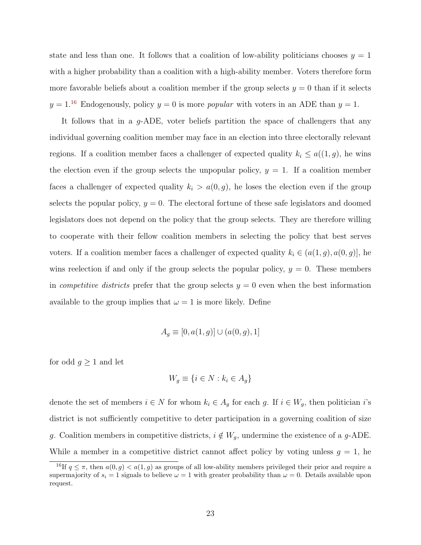state and less than one. It follows that a coalition of low-ability politicians chooses  $y = 1$ with a higher probability than a coalition with a high-ability member. Voters therefore form more favorable beliefs about a coalition member if the group selects  $y = 0$  than if it selects  $y = 1<sup>16</sup>$  $y = 1<sup>16</sup>$  $y = 1<sup>16</sup>$  Endogenously, policy  $y = 0$  is more *popular* with voters in an ADE than  $y = 1$ .

It follows that in a g-ADE, voter beliefs partition the space of challengers that any individual governing coalition member may face in an election into three electorally relevant regions. If a coalition member faces a challenger of expected quality  $k_i \leq a((1,g))$ , he wins the election even if the group selects the unpopular policy,  $y = 1$ . If a coalition member faces a challenger of expected quality  $k_i > a(0, g)$ , he loses the election even if the group selects the popular policy,  $y = 0$ . The electoral fortune of these safe legislators and doomed legislators does not depend on the policy that the group selects. They are therefore willing to cooperate with their fellow coalition members in selecting the policy that best serves voters. If a coalition member faces a challenger of expected quality  $k_i \in (a(1,g), a(0,g)]$ , he wins reelection if and only if the group selects the popular policy,  $y = 0$ . These members in *competitive districts* prefer that the group selects  $y = 0$  even when the best information available to the group implies that  $\omega = 1$  is more likely. Define

$$
A_g \equiv [0, a(1, g)] \cup (a(0, g), 1]
$$

for odd  $g \geq 1$  and let

$$
W_g \equiv \{ i \in N : k_i \in A_g \}
$$

denote the set of members  $i \in N$  for whom  $k_i \in A_g$  for each g. If  $i \in W_g$ , then politician i's district is not sufficiently competitive to deter participation in a governing coalition of size g. Coalition members in competitive districts,  $i \notin W_g$ , undermine the existence of a g-ADE. While a member in a competitive district cannot affect policy by voting unless  $g = 1$ , he

<sup>&</sup>lt;sup>16</sup>If  $q \leq \pi$ , then  $a(0, g) < a(1, g)$  as groups of all low-ability members privileged their prior and require a supermajority of  $s_i = 1$  signals to believe  $\omega = 1$  with greater probability than  $\omega = 0$ . Details available upon request.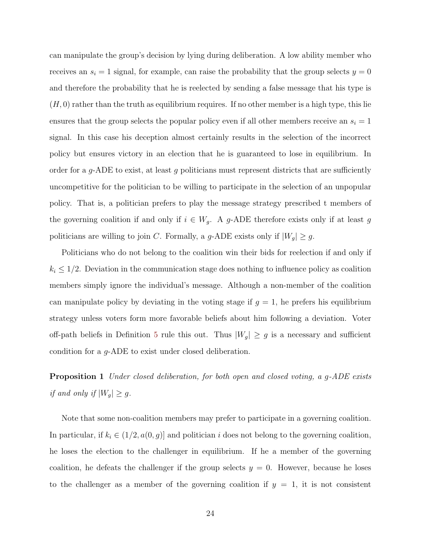can manipulate the group's decision by lying during deliberation. A low ability member who receives an  $s_i = 1$  signal, for example, can raise the probability that the group selects  $y = 0$ and therefore the probability that he is reelected by sending a false message that his type is  $(H, 0)$  rather than the truth as equilibrium requires. If no other member is a high type, this lie ensures that the group selects the popular policy even if all other members receive an  $s_i = 1$ signal. In this case his deception almost certainly results in the selection of the incorrect policy but ensures victory in an election that he is guaranteed to lose in equilibrium. In order for a  $g$ -ADE to exist, at least g politicians must represent districts that are sufficiently uncompetitive for the politician to be willing to participate in the selection of an unpopular policy. That is, a politician prefers to play the message strategy prescribed t members of the governing coalition if and only if  $i \in W_g$ . A g-ADE therefore exists only if at least g politicians are willing to join C. Formally, a g-ADE exists only if  $|W_g| \ge g$ .

Politicians who do not belong to the coalition win their bids for reelection if and only if  $k_i \leq 1/2$ . Deviation in the communication stage does nothing to influence policy as coalition members simply ignore the individual's message. Although a non-member of the coalition can manipulate policy by deviating in the voting stage if  $g = 1$ , he prefers his equilibrium strategy unless voters form more favorable beliefs about him following a deviation. Voter off-path beliefs in Definition [5](#page-22-0) rule this out. Thus  $|W_g| \ge g$  is a necessary and sufficient condition for a g-ADE to exist under closed deliberation.

<span id="page-24-0"></span>**Proposition 1** Under closed deliberation, for both open and closed voting, a g-ADE exists if and only if  $|W_g| \geq g$ .

Note that some non-coalition members may prefer to participate in a governing coalition. In particular, if  $k_i \in (1/2, a(0, g)]$  and politician i does not belong to the governing coalition, he loses the election to the challenger in equilibrium. If he a member of the governing coalition, he defeats the challenger if the group selects  $y = 0$ . However, because he loses to the challenger as a member of the governing coalition if  $y = 1$ , it is not consistent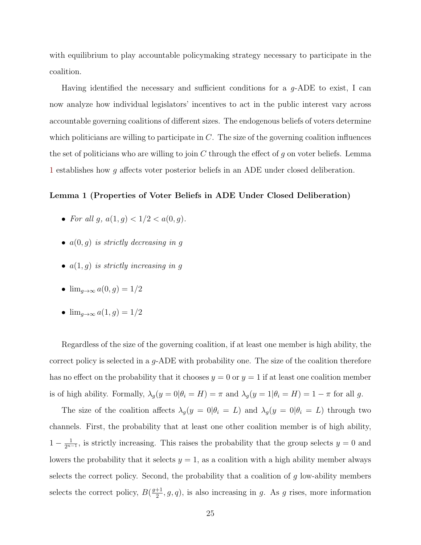with equilibrium to play accountable policymaking strategy necessary to participate in the coalition.

Having identified the necessary and sufficient conditions for a  $q$ -ADE to exist, I can now analyze how individual legislators' incentives to act in the public interest vary across accountable governing coalitions of different sizes. The endogenous beliefs of voters determine which politicians are willing to participate in  $C$ . The size of the governing coalition influences the set of politicians who are willing to join  $C$  through the effect of g on voter beliefs. Lemma [1](#page-25-0) establishes how g affects voter posterior beliefs in an ADE under closed deliberation.

#### <span id="page-25-0"></span>Lemma 1 (Properties of Voter Beliefs in ADE Under Closed Deliberation)

- For all q,  $a(1, q) < 1/2 < a(0, q)$ .
- $a(0, g)$  is strictly decreasing in g
- $a(1,g)$  is strictly increasing in g
- $\lim_{q\to\infty} a(0, q) = 1/2$
- $\lim_{q \to \infty} a(1, q) = 1/2$

Regardless of the size of the governing coalition, if at least one member is high ability, the correct policy is selected in a  $q$ -ADE with probability one. The size of the coalition therefore has no effect on the probability that it chooses  $y = 0$  or  $y = 1$  if at least one coalition member is of high ability. Formally,  $\lambda_g(y=0|\theta_i=H) = \pi$  and  $\lambda_g(y=1|\theta_i=H) = 1 - \pi$  for all g.

The size of the coalition affects  $\lambda_g(y = 0 | \theta_i = L)$  and  $\lambda_g(y = 0 | \theta_i = L)$  through two channels. First, the probability that at least one other coalition member is of high ability,  $1-\frac{1}{2^{n-1}}$  $\frac{1}{2^{n-1}}$ , is strictly increasing. This raises the probability that the group selects  $y = 0$  and lowers the probability that it selects  $y = 1$ , as a coalition with a high ability member always selects the correct policy. Second, the probability that a coalition of  $g$  low-ability members selects the correct policy,  $B(\frac{g+1}{2})$  $\frac{+1}{2}$ , g, q), is also increasing in g. As g rises, more information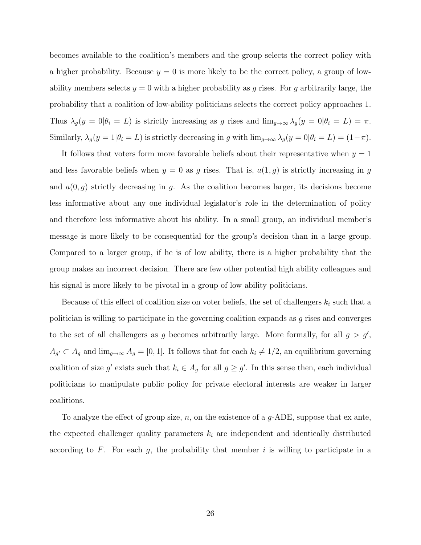becomes available to the coalition's members and the group selects the correct policy with a higher probability. Because  $y = 0$  is more likely to be the correct policy, a group of lowability members selects  $y = 0$  with a higher probability as g rises. For g arbitrarily large, the probability that a coalition of low-ability politicians selects the correct policy approaches 1. Thus  $\lambda_g(y = 0 | \theta_i = L)$  is strictly increasing as g rises and  $\lim_{g \to \infty} \lambda_g(y = 0 | \theta_i = L) = \pi$ . Similarly,  $\lambda_g(y=1|\theta_i=L)$  is strictly decreasing in g with  $\lim_{g\to\infty}\lambda_g(y=0|\theta_i=L)=(1-\pi)$ .

It follows that voters form more favorable beliefs about their representative when  $y = 1$ and less favorable beliefs when  $y = 0$  as g rises. That is,  $a(1, g)$  is strictly increasing in g and  $a(0, g)$  strictly decreasing in g. As the coalition becomes larger, its decisions become less informative about any one individual legislator's role in the determination of policy and therefore less informative about his ability. In a small group, an individual member's message is more likely to be consequential for the group's decision than in a large group. Compared to a larger group, if he is of low ability, there is a higher probability that the group makes an incorrect decision. There are few other potential high ability colleagues and his signal is more likely to be pivotal in a group of low ability politicians.

Because of this effect of coalition size on voter beliefs, the set of challengers  $k_i$  such that a politician is willing to participate in the governing coalition expands as g rises and converges to the set of all challengers as g becomes arbitrarily large. More formally, for all  $g > g'$ ,  $A_{g'} \subset A_g$  and  $\lim_{g\to\infty} A_g = [0,1]$ . It follows that for each  $k_i \neq 1/2$ , an equilibrium governing coalition of size g' exists such that  $k_i \in A_g$  for all  $g \geq g'$ . In this sense then, each individual politicians to manipulate public policy for private electoral interests are weaker in larger coalitions.

To analyze the effect of group size, n, on the existence of a  $g$ -ADE, suppose that ex ante, the expected challenger quality parameters  $k_i$  are independent and identically distributed according to  $F$ . For each  $g$ , the probability that member  $i$  is willing to participate in a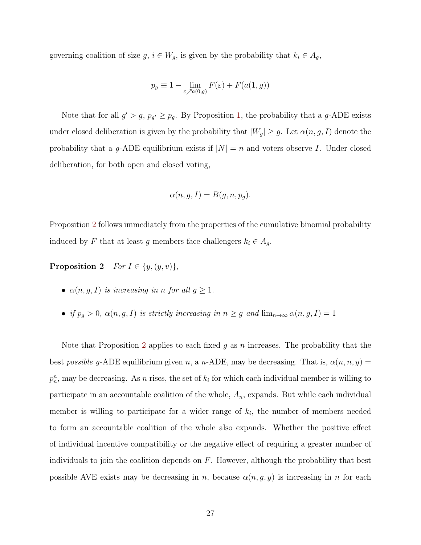governing coalition of size  $g, i \in W_g$ , is given by the probability that  $k_i \in A_g$ ,

$$
p_g \equiv 1 - \lim_{\varepsilon \nearrow a(0,g)} F(\varepsilon) + F(a(1,g))
$$

Note that for all  $g' > g$ ,  $p_{g'} \geq p_g$ . By Proposition [1,](#page-24-0) the probability that a g-ADE exists under closed deliberation is given by the probability that  $|W_g| \ge g$ . Let  $\alpha(n, g, I)$  denote the probability that a g-ADE equilibrium exists if  $|N| = n$  and voters observe I. Under closed deliberation, for both open and closed voting,

$$
\alpha(n, g, I) = B(g, n, p_g).
$$

Proposition [2](#page-27-0) follows immediately from the properties of the cumulative binomial probability induced by F that at least g members face challengers  $k_i \in A_g$ .

<span id="page-27-0"></span>**Proposition 2** For  $I \in \{y, (y, v)\},\$ 

- $\alpha(n, g, I)$  is increasing in n for all  $g \geq 1$ .
- if  $p_g > 0$ ,  $\alpha(n, g, I)$  is strictly increasing in  $n \geq g$  and  $\lim_{n \to \infty} \alpha(n, g, I) = 1$

Note that Proposition [2](#page-27-0) applies to each fixed q as n increases. The probability that the best possible g-ADE equilibrium given n, a n-ADE, may be decreasing. That is,  $\alpha(n, n, y) =$  $p_n^n$ , may be decreasing. As n rises, the set of  $k_i$  for which each individual member is willing to participate in an accountable coalition of the whole,  $A_n$ , expands. But while each individual member is willing to participate for a wider range of  $k_i$ , the number of members needed to form an accountable coalition of the whole also expands. Whether the positive effect of individual incentive compatibility or the negative effect of requiring a greater number of individuals to join the coalition depends on  $F$ . However, although the probability that best possible AVE exists may be decreasing in n, because  $\alpha(n, g, y)$  is increasing in n for each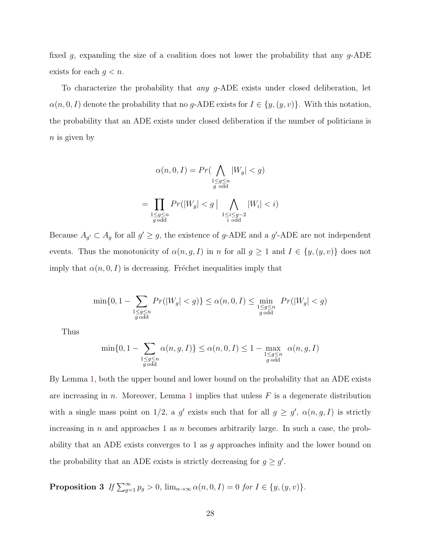fixed g, expanding the size of a coalition does not lower the probability that any  $g$ -ADE exists for each  $g < n$ .

To characterize the probability that *any g*-ADE exists under closed deliberation, let  $\alpha(n, 0, I)$  denote the probability that no g-ADE exists for  $I \in \{y, (y, v)\}\$ . With this notation, the probability that an ADE exists under closed deliberation if the number of politicians is  $n$  is given by

$$
\alpha(n, 0, I) = Pr\left(\bigwedge_{\substack{1 \le g \le n \\ g \text{ odd}}} |W_g| < g\right)
$$
\n
$$
= \prod_{\substack{1 \le g \le n \\ g \text{ odd}}} Pr(|W_g| < g \mid \bigwedge_{\substack{1 \le i \le g-2 \\ i \text{ odd}}} |W_i| < i)
$$

Because  $A_{g'} \subset A_g$  for all  $g' \geq g$ , the existence of g-ADE and a g'-ADE are not independent events. Thus the monotonicity of  $\alpha(n, g, I)$  in n for all  $g \ge 1$  and  $I \in \{y, (y, v)\}\)$  does not imply that  $\alpha(n, 0, I)$  is decreasing. Fréchet inequalities imply that

$$
\min\{0, 1 - \sum_{\substack{1 \le g \le n \\ g \text{ odd}}} Pr(|W_g| < g)\} \le \alpha(n, 0, I) \le \min_{\substack{1 \le g \le n \\ g \text{ odd}}} Pr(|W_g| < g)
$$

Thus

$$
\min\{0, 1 - \sum_{\substack{1 \le g \le n \\ g \text{ odd}}} \alpha(n, g, I)\} \le \alpha(n, 0, I) \le 1 - \max_{\substack{1 \le g \le n \\ g \text{ odd}}} \alpha(n, g, I)
$$

By Lemma [1,](#page-25-0) both the upper bound and lower bound on the probability that an ADE exists are increasing in  $n$ . Moreover, Lemma [1](#page-25-0) implies that unless  $F$  is a degenerate distribution with a single mass point on 1/2, a g' exists such that for all  $g \geq g'$ ,  $\alpha(n, g, I)$  is strictly increasing in  $n$  and approaches 1 as  $n$  becomes arbitrarily large. In such a case, the probability that an ADE exists converges to 1 as q approaches infinity and the lower bound on the probability that an ADE exists is strictly decreasing for  $g \geq g'$ .

**Proposition 3** If  $\sum_{g=1}^{\infty} p_g > 0$ ,  $\lim_{n\to\infty} \alpha(n,0,I) = 0$  for  $I \in \{y,(y,v)\}.$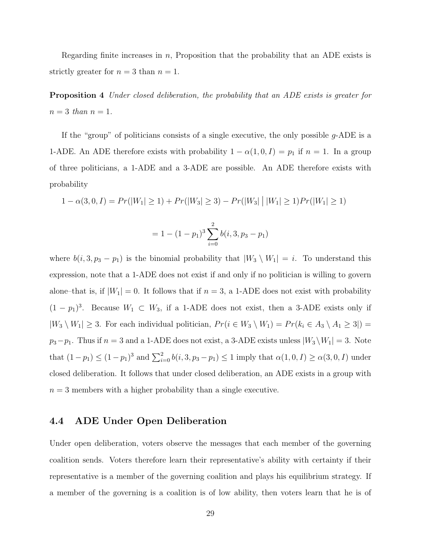Regarding finite increases in n, Proposition that the probability that an ADE exists is strictly greater for  $n = 3$  than  $n = 1$ .

Proposition 4 Under closed deliberation, the probability that an ADE exists is greater for  $n=3$  than  $n=1$ .

If the "group" of politicians consists of a single executive, the only possible  $g$ -ADE is a 1-ADE. An ADE therefore exists with probability  $1 - \alpha(1, 0, I) = p_1$  if  $n = 1$ . In a group of three politicians, a 1-ADE and a 3-ADE are possible. An ADE therefore exists with probability

$$
1 - \alpha(3, 0, I) = Pr(|W_1| \ge 1) + Pr(|W_3| \ge 3) - Pr(|W_3| \, | \, |W_1| \ge 1) Pr(|W_1| \ge 1)
$$

$$
= 1 - (1 - p1)3 \sum_{i=0}^{2} b(i, 3, p3 - p1)
$$

where  $b(i, 3, p_3 - p_1)$  is the binomial probability that  $|W_3 \setminus W_1| = i$ . To understand this expression, note that a 1-ADE does not exist if and only if no politician is willing to govern alone–that is, if  $|W_1| = 0$ . It follows that if  $n = 3$ , a 1-ADE does not exist with probability  $(1 - p_1)^3$ . Because  $W_1 \subset W_3$ , if a 1-ADE does not exist, then a 3-ADE exists only if  $|W_3 \setminus W_1| \geq 3$ . For each individual politician,  $Pr(i \in W_3 \setminus W_1) = Pr(k_i \in A_3 \setminus A_1 \geq 3| ) =$  $p_3-p_1$ . Thus if  $n=3$  and a 1-ADE does not exist, a 3-ADE exists unless  $|W_3 \setminus W_1| = 3$ . Note that  $(1 - p_1) \le (1 - p_1)^3$  and  $\sum_{i=0}^{2} b(i, 3, p_3 - p_1) \le 1$  imply that  $\alpha(1, 0, I) \ge \alpha(3, 0, I)$  under closed deliberation. It follows that under closed deliberation, an ADE exists in a group with  $n = 3$  members with a higher probability than a single executive.

#### 4.4 ADE Under Open Deliberation

Under open deliberation, voters observe the messages that each member of the governing coalition sends. Voters therefore learn their representative's ability with certainty if their representative is a member of the governing coalition and plays his equilibrium strategy. If a member of the governing is a coalition is of low ability, then voters learn that he is of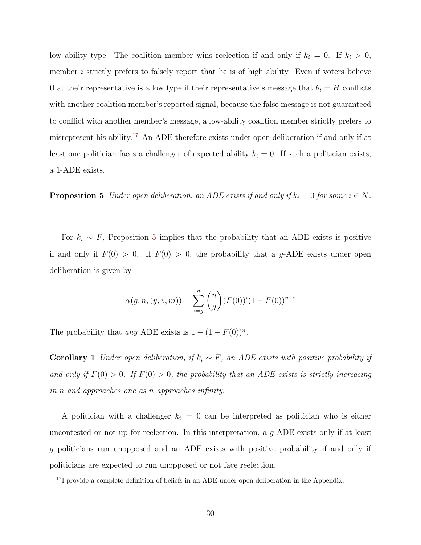low ability type. The coalition member wins reelection if and only if  $k_i = 0$ . If  $k_i > 0$ , member  $i$  strictly prefers to falsely report that he is of high ability. Even if voters believe that their representative is a low type if their representative's message that  $\theta_i = H$  conflicts with another coalition member's reported signal, because the false message is not guaranteed to conflict with another member's message, a low-ability coalition member strictly prefers to misrepresent his ability.[17](#page-0-0) An ADE therefore exists under open deliberation if and only if at least one politician faces a challenger of expected ability  $k<sub>i</sub> = 0$ . If such a politician exists, a 1-ADE exists.

<span id="page-30-0"></span>**Proposition 5** Under open deliberation, an ADE exists if and only if  $k_i = 0$  for some  $i \in N$ .

For  $k_i \sim F$ , Proposition [5](#page-30-0) implies that the probability that an ADE exists is positive if and only if  $F(0) > 0$ . If  $F(0) > 0$ , the probability that a g-ADE exists under open deliberation is given by

$$
\alpha(g, n, (y, v, m)) = \sum_{i=g}^{n} {n \choose g} (F(0))^i (1 - F(0))^{n-i}
$$

The probability that any ADE exists is  $1 - (1 - F(0))^n$ .

**Corollary 1** Under open deliberation, if  $k_i \sim F$ , an ADE exists with positive probability if and only if  $F(0) > 0$ . If  $F(0) > 0$ , the probability that an ADE exists is strictly increasing in n and approaches one as n approaches infinity.

A politician with a challenger  $k_i = 0$  can be interpreted as politician who is either uncontested or not up for reelection. In this interpretation, a g-ADE exists only if at least g politicians run unopposed and an ADE exists with positive probability if and only if politicians are expected to run unopposed or not face reelection.

<sup>&</sup>lt;sup>17</sup>I provide a complete definition of beliefs in an ADE under open deliberation in the Appendix.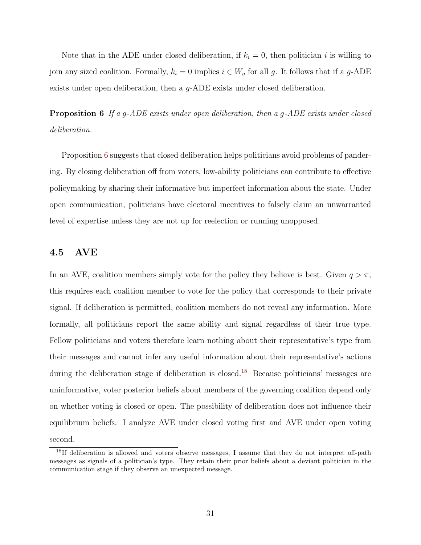Note that in the ADE under closed deliberation, if  $k_i = 0$ , then politician i is willing to join any sized coalition. Formally,  $k_i = 0$  implies  $i \in W_g$  for all g. It follows that if a g-ADE exists under open deliberation, then a g-ADE exists under closed deliberation.

<span id="page-31-0"></span>Proposition 6 If a g-ADE exists under open deliberation, then a g-ADE exists under closed deliberation.

Proposition [6](#page-31-0) suggests that closed deliberation helps politicians avoid problems of pandering. By closing deliberation off from voters, low-ability politicians can contribute to effective policymaking by sharing their informative but imperfect information about the state. Under open communication, politicians have electoral incentives to falsely claim an unwarranted level of expertise unless they are not up for reelection or running unopposed.

#### 4.5 AVE

In an AVE, coalition members simply vote for the policy they believe is best. Given  $q > \pi$ , this requires each coalition member to vote for the policy that corresponds to their private signal. If deliberation is permitted, coalition members do not reveal any information. More formally, all politicians report the same ability and signal regardless of their true type. Fellow politicians and voters therefore learn nothing about their representative's type from their messages and cannot infer any useful information about their representative's actions during the deliberation stage if deliberation is closed.<sup>[18](#page-0-0)</sup> Because politicians' messages are uninformative, voter posterior beliefs about members of the governing coalition depend only on whether voting is closed or open. The possibility of deliberation does not influence their equilibrium beliefs. I analyze AVE under closed voting first and AVE under open voting second.

<sup>&</sup>lt;sup>18</sup>If deliberation is allowed and voters observe messages, I assume that they do not interpret off-path messages as signals of a politician's type. They retain their prior beliefs about a deviant politician in the communication stage if they observe an unexpected message.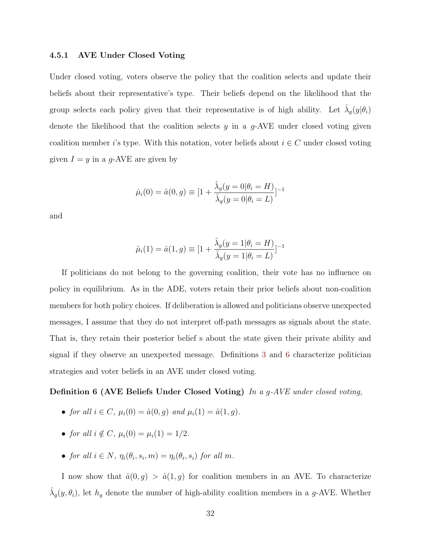#### 4.5.1 AVE Under Closed Voting

Under closed voting, voters observe the policy that the coalition selects and update their beliefs about their representative's type. Their beliefs depend on the likelihood that the group selects each policy given that their representative is of high ability. Let  $\hat{\lambda}_g(y|\theta_i)$ denote the likelihood that the coalition selects  $y$  in a  $g$ -AVE under closed voting given coalition member i's type. With this notation, voter beliefs about  $i \in C$  under closed voting given  $I = y$  in a g-AVE are given by

$$
\hat{\mu}_i(0) = \hat{a}(0, g) \equiv [1 + \frac{\hat{\lambda}_g(y = 0 | \theta_i = H)}{\hat{\lambda}_g(y = 0 | \theta_i = L)}]^{-1}
$$

and

$$
\hat{\mu}_i(1) = \hat{a}(1, g) \equiv [1 + \frac{\hat{\lambda}_g(y = 1 | \theta_i = H)}{\hat{\lambda}_g(y = 1 | \theta_i = L)}]^{-1}
$$

If politicians do not belong to the governing coalition, their vote has no influence on policy in equilibrium. As in the ADE, voters retain their prior beliefs about non-coalition members for both policy choices. If deliberation is allowed and politicians observe unexpected messages, I assume that they do not interpret off-path messages as signals about the state. That is, they retain their posterior belief s about the state given their private ability and signal if they observe an unexpected message. Definitions [3](#page-15-1) and [6](#page-32-0) characterize politician strategies and voter beliefs in an AVE under closed voting.

#### <span id="page-32-0"></span>Definition 6 (AVE Beliefs Under Closed Voting) In a g-AVE under closed voting,

- for all  $i \in C$ ,  $\mu_i(0) = \hat{a}(0, g)$  and  $\mu_i(1) = \hat{a}(1, g)$ .
- for all  $i \notin C$ ,  $\mu_i(0) = \mu_i(1) = 1/2$ .
- for all  $i \in N$ ,  $\eta_i(\theta_i, s_i, m) = \eta_i(\theta_i, s_i)$  for all m.

I now show that  $\hat{a}(0, g) > \hat{a}(1, g)$  for coalition members in an AVE. To characterize  $\hat{\lambda}_g(y, \theta_i)$ , let  $h_g$  denote the number of high-ability coalition members in a g-AVE. Whether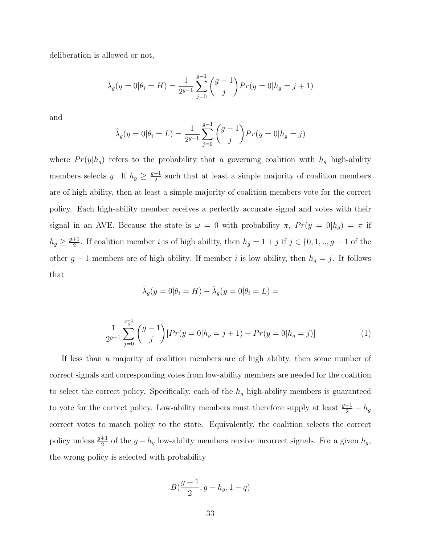deliberation is allowed or not,

$$
\hat{\lambda}_g(y=0|\theta_i = H) = \frac{1}{2^{g-1}} \sum_{j=0}^{g-1} {g-1 \choose j} Pr(y=0|h_g = j+1)
$$

and

$$
\hat{\lambda}_g(y=0|\theta_i=L) = \frac{1}{2^{g-1}} \sum_{j=0}^{g-1} {g-1 \choose j} Pr(y=0|h_g=j)
$$

where  $Pr(y|h_g)$  refers to the probability that a governing coalition with  $h_g$  high-ability members selects y. If  $h_g \geq \frac{g+1}{2}$  $\frac{+1}{2}$  such that at least a simple majority of coalition members are of high ability, then at least a simple majority of coalition members vote for the correct policy. Each high-ability member receives a perfectly accurate signal and votes with their signal in an AVE. Because the state is  $\omega = 0$  with probability  $\pi$ ,  $Pr(y = 0 | h_g) = \pi$  if  $h_g \geq \frac{g+1}{2}$  $\frac{1}{2}$ . If coalition member *i* is of high ability, then  $h_g = 1 + j$  if  $j \in \{0, 1, ..., g - 1\}$  of the other  $g - 1$  members are of high ability. If member i is low ability, then  $h_g = j$ . It follows that

$$
\hat{\lambda}_g(y=0|\theta_i = H) - \hat{\lambda}_g(y=0|\theta_i = L) =
$$

<span id="page-33-0"></span>
$$
\frac{1}{2^{g-1}}\sum_{j=0}^{\frac{g-1}{2}} \binom{g-1}{j} [Pr(y=0|h_g=j+1) - Pr(y=0|h_g=j)] \tag{1}
$$

If less than a majority of coalition members are of high ability, then some number of correct signals and corresponding votes from low-ability members are needed for the coalition to select the correct policy. Specifically, each of the  $h<sub>g</sub>$  high-ability members is guaranteed to vote for the correct policy. Low-ability members must therefore supply at least  $\frac{g+1}{2} - h_g$ correct votes to match policy to the state. Equivalently, the coalition selects the correct policy unless  $\frac{g+1}{2}$  of the  $g-h_g$  low-ability members receive incorrect signals. For a given  $h_g$ , the wrong policy is selected with probability

$$
B(\frac{g+1}{2},g-h_g,1-q)
$$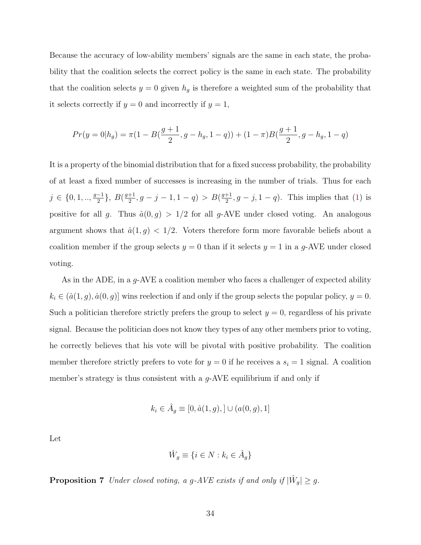Because the accuracy of low-ability members' signals are the same in each state, the probability that the coalition selects the correct policy is the same in each state. The probability that the coalition selects  $y = 0$  given  $h_g$  is therefore a weighted sum of the probability that it selects correctly if  $y = 0$  and incorrectly if  $y = 1$ ,

$$
Pr(y = 0 | h_g) = \pi (1 - B(\frac{g+1}{2}, g - h_g, 1 - q)) + (1 - \pi)B(\frac{g+1}{2}, g - h_g, 1 - q)
$$

It is a property of the binomial distribution that for a fixed success probability, the probability of at least a fixed number of successes is increasing in the number of trials. Thus for each  $j \in \{0, 1, \ldots, \frac{g-1}{2}\}$  $\frac{-1}{2}\}, B(\frac{g+1}{2})$  $\frac{+1}{2}, g-j-1, 1-q$ ) > B( $\frac{g+1}{2}$  $\frac{+1}{2}$ ,  $g - j$ ,  $1 - q$ ). This implies that [\(1\)](#page-33-0) is positive for all g. Thus  $\hat{a}(0, g) > 1/2$  for all g-AVE under closed voting. An analogous argument shows that  $\hat{a}(1, g) < 1/2$ . Voters therefore form more favorable beliefs about a coalition member if the group selects  $y = 0$  than if it selects  $y = 1$  in a g-AVE under closed voting.

As in the ADE, in a g-AVE a coalition member who faces a challenger of expected ability  $k_i \in (\hat{a}(1,g), \hat{a}(0,g)]$  wins reelection if and only if the group selects the popular policy,  $y = 0$ . Such a politician therefore strictly prefers the group to select  $y = 0$ , regardless of his private signal. Because the politician does not know they types of any other members prior to voting, he correctly believes that his vote will be pivotal with positive probability. The coalition member therefore strictly prefers to vote for  $y = 0$  if he receives a  $s_i = 1$  signal. A coalition member's strategy is thus consistent with a  $q$ -AVE equilibrium if and only if

$$
k_i \in \hat{A}_g \equiv [0, \hat{a}(1, g), ] \cup (a(0, g), 1]
$$

Let

$$
\hat{W}_g \equiv \{ i \in N : k_i \in \hat{A}_g \}
$$

**Proposition 7** Under closed voting, a g-AVE exists if and only if  $|\hat{W}_g| \geq g$ .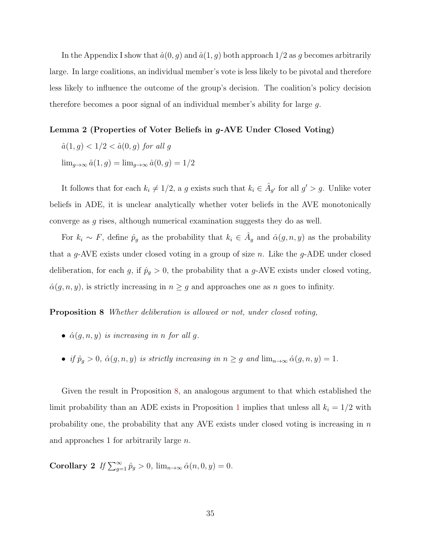In the Appendix I show that  $\hat{a}(0, g)$  and  $\hat{a}(1, g)$  both approach  $1/2$  as g becomes arbitrarily large. In large coalitions, an individual member's vote is less likely to be pivotal and therefore less likely to influence the outcome of the group's decision. The coalition's policy decision therefore becomes a poor signal of an individual member's ability for large g.

#### Lemma 2 (Properties of Voter Beliefs in g-AVE Under Closed Voting)

- $\hat{a}(1, g) < 1/2 < \hat{a}(0, g)$  for all g
- $\lim_{g\to\infty} \hat{a}(1,g) = \lim_{g\to\infty} \hat{a}(0,g) = 1/2$

It follows that for each  $k_i \neq 1/2$ , a g exists such that  $k_i \in \hat{A}_{g'}$  for all  $g' > g$ . Unlike voter beliefs in ADE, it is unclear analytically whether voter beliefs in the AVE monotonically converge as g rises, although numerical examination suggests they do as well.

For  $k_i \sim F$ , define  $\hat{p}_g$  as the probability that  $k_i \in \hat{A}_g$  and  $\hat{\alpha}(g, n, y)$  as the probability that a g-AVE exists under closed voting in a group of size  $n$ . Like the g-ADE under closed deliberation, for each g, if  $\hat{p}_g > 0$ , the probability that a g-AVE exists under closed voting,  $\hat{\alpha}(g, n, y)$ , is strictly increasing in  $n \geq g$  and approaches one as n goes to infinity.

<span id="page-35-0"></span>Proposition 8 Whether deliberation is allowed or not, under closed voting,

- $\hat{\alpha}(g, n, y)$  is increasing in n for all g.
- if  $\hat{p}_g > 0$ ,  $\hat{\alpha}(g, n, y)$  is strictly increasing in  $n \geq g$  and  $\lim_{n \to \infty} \hat{\alpha}(g, n, y) = 1$ .

Given the result in Proposition [8,](#page-35-0) an analogous argument to that which established the limit probability than an ADE exists in Proposition [1](#page-24-0) implies that unless all  $k_i = 1/2$  with probability one, the probability that any AVE exists under closed voting is increasing in  $n$ and approaches 1 for arbitrarily large n.

<span id="page-35-1"></span>Corollary 2 If  $\sum_{g=1}^{\infty} \hat{p}_g > 0$ ,  $\lim_{n\to\infty} \hat{\alpha}(n,0,y) = 0$ .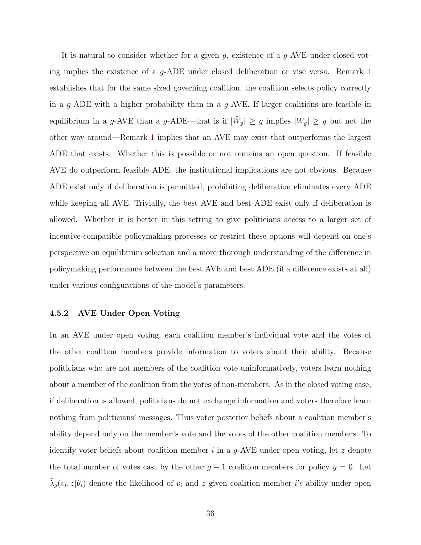It is natural to consider whether for a given g, existence of a g-AVE under closed voting implies the existence of a g-ADE under closed deliberation or vise versa. Remark [1](#page-18-0) establishes that for the same sized governing coalition, the coalition selects policy correctly in a g-ADE with a higher probability than in a g-AVE. If larger coalitions are feasible in equilibrium in a g-AVE than a g-ADE—that is if  $|\hat{W}_g| \ge g$  implies  $|W_g| \ge g$  but not the other way around—Remark [1](#page-18-0) implies that an AVE may exist that outperforms the largest ADE that exists. Whether this is possible or not remains an open question. If feasible AVE do outperform feasible ADE, the institutional implications are not obvious. Because ADE exist only if deliberation is permitted, prohibiting deliberation eliminates every ADE while keeping all AVE. Trivially, the best AVE and best ADE exist only if deliberation is allowed. Whether it is better in this setting to give politicians access to a larger set of incentive-compatible policymaking processes or restrict these options will depend on one's perspective on equilibrium selection and a more thorough understanding of the difference in policymaking performance between the best AVE and best ADE (if a difference exists at all) under various configurations of the model's parameters.

#### 4.5.2 AVE Under Open Voting

In an AVE under open voting, each coalition member's individual vote and the votes of the other coalition members provide information to voters about their ability. Because politicians who are not members of the coalition vote uninformatively, voters learn nothing about a member of the coalition from the votes of non-members. As in the closed voting case, if deliberation is allowed, politicians do not exchange information and voters therefore learn nothing from politicians' messages. Thus voter posterior beliefs about a coalition member's ability depend only on the member's vote and the votes of the other coalition members. To identify voter beliefs about coalition member  $i$  in a g-AVE under open voting, let z denote the total number of votes cast by the other  $g - 1$  coalition members for policy  $y = 0$ . Let  $\tilde{\lambda}_g(v_i, z | \theta_i)$  denote the likelihood of  $v_i$  and z given coalition member *i*'s ability under open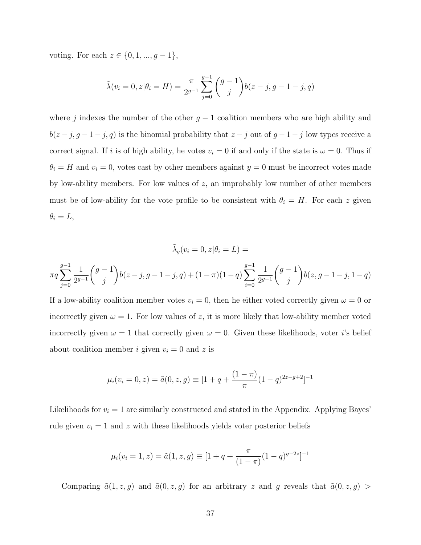voting. For each  $z \in \{0, 1, ..., g - 1\}$ ,

$$
\tilde{\lambda}(v_i = 0, z | \theta_i = H) = \frac{\pi}{2^{g-1}} \sum_{j=0}^{g-1} {g-1 \choose j} b(z - j, g - 1 - j, q)
$$

where j indexes the number of the other  $g - 1$  coalition members who are high ability and  $b(z-j, g-1-j, q)$  is the binomial probability that  $z-j$  out of  $g-1-j$  low types receive a correct signal. If i is of high ability, he votes  $v_i = 0$  if and only if the state is  $\omega = 0$ . Thus if  $\theta_i = H$  and  $v_i = 0$ , votes cast by other members against  $y = 0$  must be incorrect votes made by low-ability members. For low values of  $z$ , an improbably low number of other members must be of low-ability for the vote profile to be consistent with  $\theta_i = H$ . For each z given  $\theta_i = L$ ,

$$
\tilde{\lambda}_g(v_i = 0, z | \theta_i = L) =
$$
  

$$
\pi q \sum_{j=0}^{g-1} \frac{1}{2^{g-1}} {g-1 \choose j} b(z-j, g-1-j, q) + (1-\pi)(1-q) \sum_{i=0}^{g-1} \frac{1}{2^{g-1}} {g-1 \choose j} b(z, g-1-j, 1-q)
$$

If a low-ability coalition member votes  $v_i = 0$ , then he either voted correctly given  $\omega = 0$  or incorrectly given  $\omega = 1$ . For low values of z, it is more likely that low-ability member voted incorrectly given  $\omega = 1$  that correctly given  $\omega = 0$ . Given these likelihoods, voter *i*'s belief about coalition member *i* given  $v_i = 0$  and *z* is

$$
\mu_i(v_i = 0, z) = \tilde{a}(0, z, g) \equiv [1 + q + \frac{(1 - \pi)}{\pi} (1 - q)^{2z - g + 2}]^{-1}
$$

Likelihoods for  $v_i = 1$  are similarly constructed and stated in the Appendix. Applying Bayes' rule given  $v_i = 1$  and z with these likelihoods yields voter posterior beliefs

$$
\mu_i(v_i = 1, z) = \tilde{a}(1, z, g) \equiv [1 + q + \frac{\pi}{(1 - \pi)}(1 - q)^{g - 2z}]^{-1}
$$

Comparing  $\tilde{a}(1, z, g)$  and  $\tilde{a}(0, z, g)$  for an arbitrary z and g reveals that  $\tilde{a}(0, z, g)$  >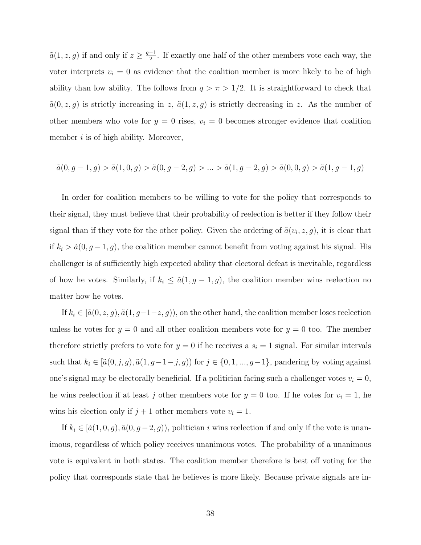$\tilde{a}(1, z, g)$  if and only if  $z \geq \frac{g-1}{2}$  $\frac{-1}{2}$ . If exactly one half of the other members vote each way, the voter interprets  $v_i = 0$  as evidence that the coalition member is more likely to be of high ability than low ability. The follows from  $q > \pi > 1/2$ . It is straightforward to check that  $\tilde{a}(0, z, g)$  is strictly increasing in z,  $\tilde{a}(1, z, g)$  is strictly decreasing in z. As the number of other members who vote for  $y = 0$  rises,  $v_i = 0$  becomes stronger evidence that coalition member  $i$  is of high ability. Moreover,

$$
\tilde{a}(0, g-1, g) > \tilde{a}(1, 0, g) > \tilde{a}(0, g-2, g) > \ldots > \tilde{a}(1, g-2, g) > \tilde{a}(0, 0, g) > \tilde{a}(1, g-1, g)
$$

In order for coalition members to be willing to vote for the policy that corresponds to their signal, they must believe that their probability of reelection is better if they follow their signal than if they vote for the other policy. Given the ordering of  $\tilde{a}(v_i, z, g)$ , it is clear that if  $k_i > \tilde{a}(0, g-1, g)$ , the coalition member cannot benefit from voting against his signal. His challenger is of sufficiently high expected ability that electoral defeat is inevitable, regardless of how he votes. Similarly, if  $k_i \leq \tilde{a}(1, g-1, g)$ , the coalition member wins reelection no matter how he votes.

If  $k_i \in [\tilde{a}(0, z, g), \tilde{a}(1, g-1-z, g)]$ , on the other hand, the coalition member loses reelection unless he votes for  $y = 0$  and all other coalition members vote for  $y = 0$  too. The member therefore strictly prefers to vote for  $y = 0$  if he receives a  $s_i = 1$  signal. For similar intervals such that  $k_i \in [\tilde{a}(0, j, g), \tilde{a}(1, g-1-j, g)]$  for  $j \in \{0, 1, ..., g-1\}$ , pandering by voting against one's signal may be electorally beneficial. If a politician facing such a challenger votes  $v_i = 0$ , he wins reelection if at least j other members vote for  $y = 0$  too. If he votes for  $v_i = 1$ , he wins his election only if  $j + 1$  other members vote  $v_i = 1$ .

If  $k_i \in [\tilde{a}(1, 0, g), \tilde{a}(0, g-2, g))$ , politician *i* wins reelection if and only if the vote is unanimous, regardless of which policy receives unanimous votes. The probability of a unanimous vote is equivalent in both states. The coalition member therefore is best off voting for the policy that corresponds state that he believes is more likely. Because private signals are in-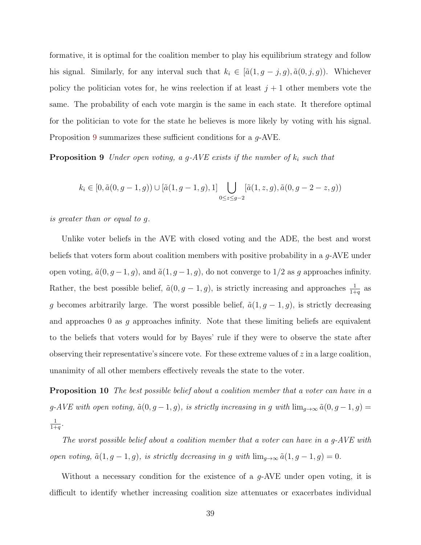formative, it is optimal for the coalition member to play his equilibrium strategy and follow his signal. Similarly, for any interval such that  $k_i \in [\tilde{a}(1, g - j, g), \tilde{a}(0, j, g))$ . Whichever policy the politician votes for, he wins reelection if at least  $j + 1$  other members vote the same. The probability of each vote margin is the same in each state. It therefore optimal for the politician to vote for the state he believes is more likely by voting with his signal. Proposition [9](#page-39-0) summarizes these sufficient conditions for a  $q$ -AVE.

<span id="page-39-0"></span>**Proposition 9** Under open voting, a g-AVE exists if the number of  $k_i$  such that

$$
k_i \in [0, \tilde{a}(0, g-1, g)) \cup [\tilde{a}(1, g-1, g), 1] \bigcup_{0 \le z \le g-2} [\tilde{a}(1, z, g), \tilde{a}(0, g-2-z, g))
$$

is greater than or equal to g.

Unlike voter beliefs in the AVE with closed voting and the ADE, the best and worst beliefs that voters form about coalition members with positive probability in a g-AVE under open voting,  $\tilde{a}(0, g-1, g)$ , and  $\tilde{a}(1, g-1, g)$ , do not converge to  $1/2$  as g approaches infinity. Rather, the best possible belief,  $\tilde{a}(0, g - 1, g)$ , is strictly increasing and approaches  $\frac{1}{1+q}$  as g becomes arbitrarily large. The worst possible belief,  $\tilde{a}(1, g - 1, g)$ , is strictly decreasing and approaches 0 as  $g$  approaches infinity. Note that these limiting beliefs are equivalent to the beliefs that voters would for by Bayes' rule if they were to observe the state after observing their representative's sincere vote. For these extreme values of  $z$  in a large coalition, unanimity of all other members effectively reveals the state to the voter.

<span id="page-39-1"></span>Proposition 10 The best possible belief about a coalition member that a voter can have in a g-AVE with open voting,  $\tilde{a}(0, g - 1, g)$ , is strictly increasing in g with  $\lim_{g\to\infty} \tilde{a}(0, g - 1, g)$ 1  $\frac{1}{1+q}$ .

The worst possible belief about a coalition member that a voter can have in a g-AVE with open voting,  $\tilde{a}(1, g - 1, g)$ , is strictly decreasing in g with  $\lim_{g\to\infty} \tilde{a}(1, g - 1, g) = 0$ .

Without a necessary condition for the existence of a g-AVE under open voting, it is difficult to identify whether increasing coalition size attenuates or exacerbates individual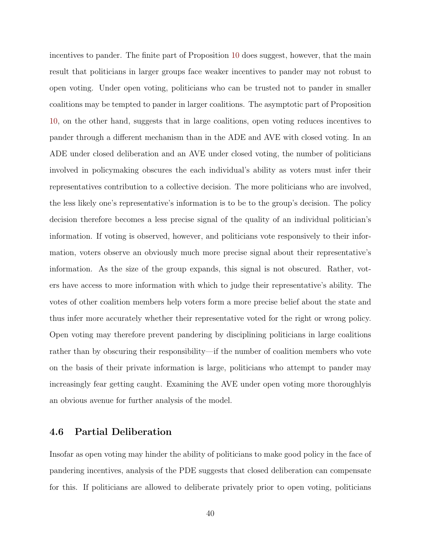incentives to pander. The finite part of Proposition [10](#page-39-1) does suggest, however, that the main result that politicians in larger groups face weaker incentives to pander may not robust to open voting. Under open voting, politicians who can be trusted not to pander in smaller coalitions may be tempted to pander in larger coalitions. The asymptotic part of Proposition [10,](#page-39-1) on the other hand, suggests that in large coalitions, open voting reduces incentives to pander through a different mechanism than in the ADE and AVE with closed voting. In an ADE under closed deliberation and an AVE under closed voting, the number of politicians involved in policymaking obscures the each individual's ability as voters must infer their representatives contribution to a collective decision. The more politicians who are involved, the less likely one's representative's information is to be to the group's decision. The policy decision therefore becomes a less precise signal of the quality of an individual politician's information. If voting is observed, however, and politicians vote responsively to their information, voters observe an obviously much more precise signal about their representative's information. As the size of the group expands, this signal is not obscured. Rather, voters have access to more information with which to judge their representative's ability. The votes of other coalition members help voters form a more precise belief about the state and thus infer more accurately whether their representative voted for the right or wrong policy. Open voting may therefore prevent pandering by disciplining politicians in large coalitions rather than by obscuring their responsibility—if the number of coalition members who vote on the basis of their private information is large, politicians who attempt to pander may increasingly fear getting caught. Examining the AVE under open voting more thoroughlyis an obvious avenue for further analysis of the model.

### 4.6 Partial Deliberation

Insofar as open voting may hinder the ability of politicians to make good policy in the face of pandering incentives, analysis of the PDE suggests that closed deliberation can compensate for this. If politicians are allowed to deliberate privately prior to open voting, politicians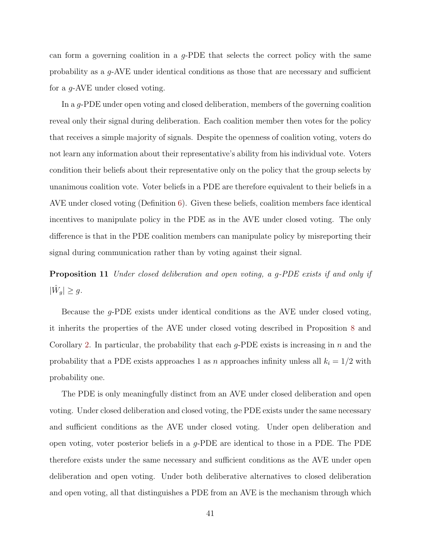can form a governing coalition in a  $q$ -PDE that selects the correct policy with the same probability as a g-AVE under identical conditions as those that are necessary and sufficient for a g-AVE under closed voting.

In a g-PDE under open voting and closed deliberation, members of the governing coalition reveal only their signal during deliberation. Each coalition member then votes for the policy that receives a simple majority of signals. Despite the openness of coalition voting, voters do not learn any information about their representative's ability from his individual vote. Voters condition their beliefs about their representative only on the policy that the group selects by unanimous coalition vote. Voter beliefs in a PDE are therefore equivalent to their beliefs in a AVE under closed voting (Definition [6\)](#page-32-0). Given these beliefs, coalition members face identical incentives to manipulate policy in the PDE as in the AVE under closed voting. The only difference is that in the PDE coalition members can manipulate policy by misreporting their signal during communication rather than by voting against their signal.

Proposition 11 Under closed deliberation and open voting, a g-PDE exists if and only if  $|\hat{W}_g| \geq g.$ 

Because the g-PDE exists under identical conditions as the AVE under closed voting, it inherits the properties of the AVE under closed voting described in Proposition [8](#page-35-0) and Corollary [2.](#page-35-1) In particular, the probability that each  $q$ -PDE exists is increasing in n and the probability that a PDE exists approaches 1 as n approaches infinity unless all  $k<sub>i</sub> = 1/2$  with probability one.

The PDE is only meaningfully distinct from an AVE under closed deliberation and open voting. Under closed deliberation and closed voting, the PDE exists under the same necessary and sufficient conditions as the AVE under closed voting. Under open deliberation and open voting, voter posterior beliefs in a  $q$ -PDE are identical to those in a PDE. The PDE therefore exists under the same necessary and sufficient conditions as the AVE under open deliberation and open voting. Under both deliberative alternatives to closed deliberation and open voting, all that distinguishes a PDE from an AVE is the mechanism through which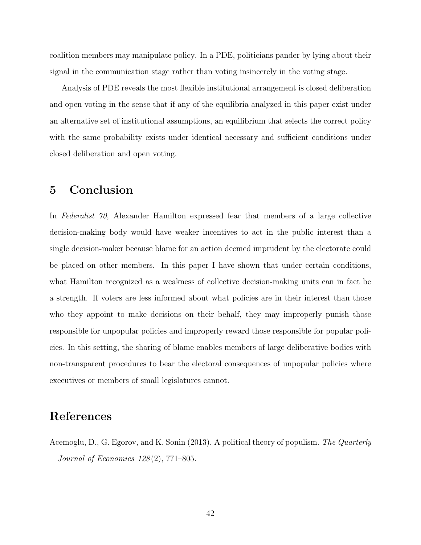coalition members may manipulate policy. In a PDE, politicians pander by lying about their signal in the communication stage rather than voting insincerely in the voting stage.

Analysis of PDE reveals the most flexible institutional arrangement is closed deliberation and open voting in the sense that if any of the equilibria analyzed in this paper exist under an alternative set of institutional assumptions, an equilibrium that selects the correct policy with the same probability exists under identical necessary and sufficient conditions under closed deliberation and open voting.

## 5 Conclusion

In Federalist 70, Alexander Hamilton expressed fear that members of a large collective decision-making body would have weaker incentives to act in the public interest than a single decision-maker because blame for an action deemed imprudent by the electorate could be placed on other members. In this paper I have shown that under certain conditions, what Hamilton recognized as a weakness of collective decision-making units can in fact be a strength. If voters are less informed about what policies are in their interest than those who they appoint to make decisions on their behalf, they may improperly punish those responsible for unpopular policies and improperly reward those responsible for popular policies. In this setting, the sharing of blame enables members of large deliberative bodies with non-transparent procedures to bear the electoral consequences of unpopular policies where executives or members of small legislatures cannot.

## References

<span id="page-42-0"></span>Acemoglu, D., G. Egorov, and K. Sonin (2013). A political theory of populism. The Quarterly Journal of Economics 128 (2), 771–805.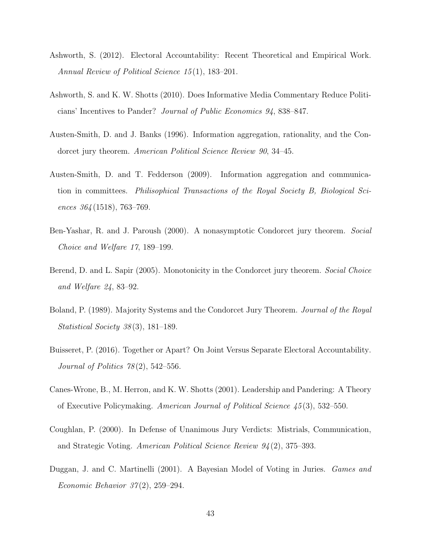- <span id="page-43-7"></span>Ashworth, S. (2012). Electoral Accountability: Recent Theoretical and Empirical Work. Annual Review of Political Science 15 (1), 183–201.
- <span id="page-43-1"></span>Ashworth, S. and K. W. Shotts (2010). Does Informative Media Commentary Reduce Politicians' Incentives to Pander? Journal of Public Economics 94, 838–847.
- <span id="page-43-4"></span>Austen-Smith, D. and J. Banks (1996). Information aggregation, rationality, and the Condorcet jury theorem. American Political Science Review 90, 34-45.
- <span id="page-43-8"></span>Austen-Smith, D. and T. Fedderson (2009). Information aggregation and communication in committees. Philisophical Transactions of the Royal Society B, Biological Sciences  $364(1518)$ , 763-769.
- <span id="page-43-2"></span>Ben-Yashar, R. and J. Paroush (2000). A nonasymptotic Condorcet jury theorem. Social Choice and Welfare 17, 189–199.
- <span id="page-43-3"></span>Berend, D. and L. Sapir (2005). Monotonicity in the Condorcet jury theorem. Social Choice and Welfare 24, 83–92.
- <span id="page-43-10"></span>Boland, P. (1989). Majority Systems and the Condorcet Jury Theorem. Journal of the Royal Statistical Society 38 (3), 181–189.
- <span id="page-43-9"></span>Buisseret, P. (2016). Together or Apart? On Joint Versus Separate Electoral Accountability. Journal of Politics  $78(2)$ , 542–556.
- <span id="page-43-0"></span>Canes-Wrone, B., M. Herron, and K. W. Shotts (2001). Leadership and Pandering: A Theory of Executive Policymaking. American Journal of Political Science 45 (3), 532–550.
- <span id="page-43-6"></span>Coughlan, P. (2000). In Defense of Unanimous Jury Verdicts: Mistrials, Communication, and Strategic Voting. American Political Science Review 94 (2), 375–393.
- <span id="page-43-5"></span>Duggan, J. and C. Martinelli (2001). A Bayesian Model of Voting in Juries. Games and Economic Behavior  $37(2)$ , 259–294.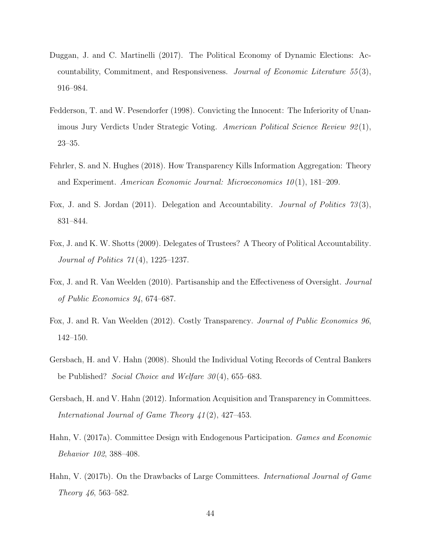- <span id="page-44-3"></span>Duggan, J. and C. Martinelli (2017). The Political Economy of Dynamic Elections: Accountability, Commitment, and Responsiveness. Journal of Economic Literature 55 (3), 916–984.
- <span id="page-44-2"></span>Fedderson, T. and W. Pesendorfer (1998). Convicting the Innocent: The Inferiority of Unanimous Jury Verdicts Under Strategic Voting. American Political Science Review 92 (1), 23–35.
- <span id="page-44-4"></span>Fehrler, S. and N. Hughes (2018). How Transparency Kills Information Aggregation: Theory and Experiment. American Economic Journal: Microeconomics  $10(1)$ , 181–209.
- <span id="page-44-9"></span>Fox, J. and S. Jordan (2011). Delegation and Accountability. *Journal of Politics 73* (3), 831–844.
- <span id="page-44-1"></span>Fox, J. and K. W. Shotts (2009). Delegates of Trustees? A Theory of Political Accountability. Journal of Politics 71 (4), 1225–1237.
- <span id="page-44-10"></span>Fox, J. and R. Van Weelden (2010). Partisanship and the Effectiveness of Oversight. Journal of Public Economics 94, 674–687.
- <span id="page-44-0"></span>Fox, J. and R. Van Weelden (2012). Costly Transparency. Journal of Public Economics 96, 142–150.
- <span id="page-44-5"></span>Gersbach, H. and V. Hahn (2008). Should the Individual Voting Records of Central Bankers be Published? Social Choice and Welfare  $30(4)$ , 655–683.
- <span id="page-44-6"></span>Gersbach, H. and V. Hahn (2012). Information Acquisition and Transparency in Committees. International Journal of Game Theory 41 (2), 427–453.
- <span id="page-44-8"></span>Hahn, V. (2017a). Committee Design with Endogenous Participation. Games and Economic Behavior 102, 388–408.
- <span id="page-44-7"></span>Hahn, V. (2017b). On the Drawbacks of Large Committees. *International Journal of Game* Theory 46, 563–582.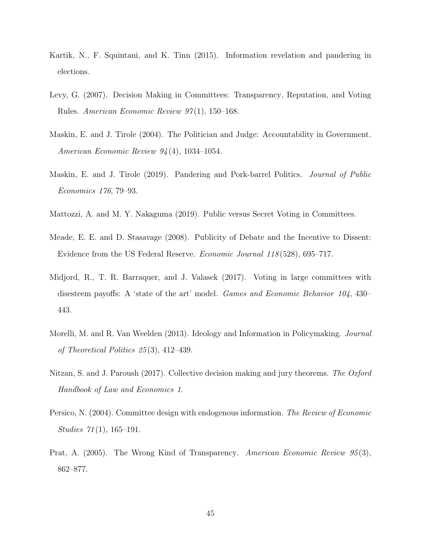- <span id="page-45-4"></span>Kartik, N., F. Squintani, and K. Tinn (2015). Information revelation and pandering in elections.
- <span id="page-45-6"></span>Levy, G. (2007). Decision Making in Committees: Transparency, Reputation, and Voting Rules. American Economic Review 97 (1), 150–168.
- <span id="page-45-2"></span>Maskin, E. and J. Tirole (2004). The Politician and Judge: Accountability in Government. American Economic Review 94 (4), 1034–1054.
- <span id="page-45-3"></span>Maskin, E. and J. Tirole (2019). Pandering and Pork-barrel Politics. Journal of Public Economics 176, 79–93.
- <span id="page-45-8"></span>Mattozzi, A. and M. Y. Nakaguma (2019). Public versus Secret Voting in Committees.
- <span id="page-45-7"></span>Meade, E. E. and D. Stasavage (2008). Publicity of Debate and the Incentive to Dissent: Evidence from the US Federal Reserve. Economic Journal 118 (528), 695–717.
- <span id="page-45-5"></span>Midjord, R., T. R. Barraquer, and J. Valasek (2017). Voting in large committees with disesteem payoffs: A 'state of the art' model. Games and Economic Behavior 104, 430– 443.
- <span id="page-45-1"></span>Morelli, M. and R. Van Weelden (2013). Ideology and Information in Policymaking. Journal of Theoretical Politics 25 (3), 412–439.
- <span id="page-45-10"></span>Nitzan, S. and J. Paroush (2017). Collective decision making and jury theorems. The Oxford Handbook of Law and Economics 1.
- <span id="page-45-9"></span>Persico, N. (2004). Committee design with endogenous information. The Review of Economic Studies  $71(1)$ , 165–191.
- <span id="page-45-0"></span>Prat, A. (2005). The Wrong Kind of Transparency. American Economic Review 95(3), 862–877.